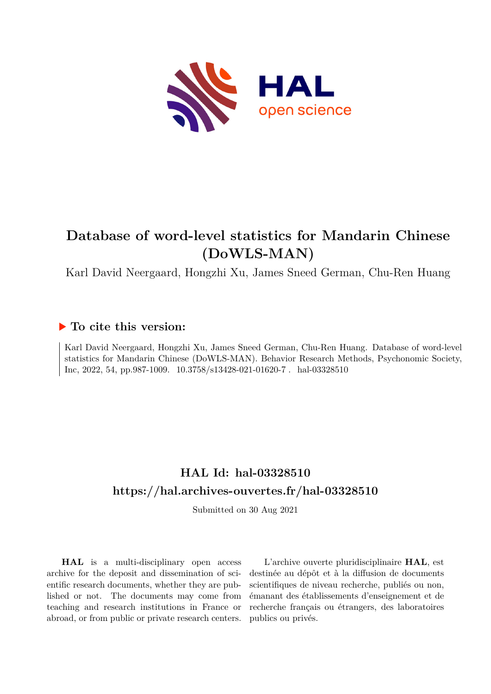

# **Database of word-level statistics for Mandarin Chinese (DoWLS-MAN)**

Karl David Neergaard, Hongzhi Xu, James Sneed German, Chu-Ren Huang

## **To cite this version:**

Karl David Neergaard, Hongzhi Xu, James Sneed German, Chu-Ren Huang. Database of word-level statistics for Mandarin Chinese (DoWLS-MAN). Behavior Research Methods, Psychonomic Society, Inc, 2022, 54, pp.987-1009.  $10.3758/s13428-021-01620-7$ . hal-03328510

## **HAL Id: hal-03328510 <https://hal.archives-ouvertes.fr/hal-03328510>**

Submitted on 30 Aug 2021

**HAL** is a multi-disciplinary open access archive for the deposit and dissemination of scientific research documents, whether they are published or not. The documents may come from teaching and research institutions in France or abroad, or from public or private research centers.

L'archive ouverte pluridisciplinaire **HAL**, est destinée au dépôt et à la diffusion de documents scientifiques de niveau recherche, publiés ou non, émanant des établissements d'enseignement et de recherche français ou étrangers, des laboratoires publics ou privés.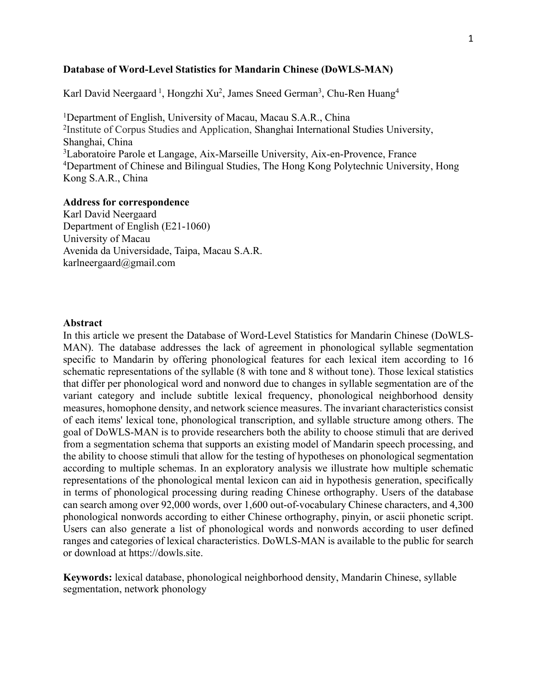## **Database of Word-Level Statistics for Mandarin Chinese (DoWLS-MAN)**

Karl David Neergaard <sup>1</sup>, Hongzhi Xu<sup>2</sup>, James Sneed German<sup>3</sup>, Chu-Ren Huang<sup>4</sup>

<sup>1</sup>Department of English, University of Macau, Macau S.A.R., China <sup>2</sup>Institute of Corpus Studies and Application, Shanghai International Studies University, Shanghai, China <sup>3</sup>Laboratoire Parole et Langage, Aix-Marseille University, Aix-en-Provence, France <sup>4</sup>Department of Chinese and Bilingual Studies, The Hong Kong Polytechnic University, Hong Kong S.A.R., China

## **Address for correspondence**

Karl David Neergaard Department of English (E21-1060) University of Macau Avenida da Universidade, Taipa, Macau S.A.R. karlneergaard@gmail.com

## **Abstract**

In this article we present the Database of Word-Level Statistics for Mandarin Chinese (DoWLS-MAN). The database addresses the lack of agreement in phonological syllable segmentation specific to Mandarin by offering phonological features for each lexical item according to 16 schematic representations of the syllable (8 with tone and 8 without tone). Those lexical statistics that differ per phonological word and nonword due to changes in syllable segmentation are of the variant category and include subtitle lexical frequency, phonological neighborhood density measures, homophone density, and network science measures. The invariant characteristics consist of each items' lexical tone, phonological transcription, and syllable structure among others. The goal of DoWLS-MAN is to provide researchers both the ability to choose stimuli that are derived from a segmentation schema that supports an existing model of Mandarin speech processing, and the ability to choose stimuli that allow for the testing of hypotheses on phonological segmentation according to multiple schemas. In an exploratory analysis we illustrate how multiple schematic representations of the phonological mental lexicon can aid in hypothesis generation, specifically in terms of phonological processing during reading Chinese orthography. Users of the database can search among over 92,000 words, over 1,600 out-of-vocabulary Chinese characters, and 4,300 phonological nonwords according to either Chinese orthography, pinyin, or ascii phonetic script. Users can also generate a list of phonological words and nonwords according to user defined ranges and categories of lexical characteristics. DoWLS-MAN is available to the public for search or download at https://dowls.site.

**Keywords:** lexical database, phonological neighborhood density, Mandarin Chinese, syllable segmentation, network phonology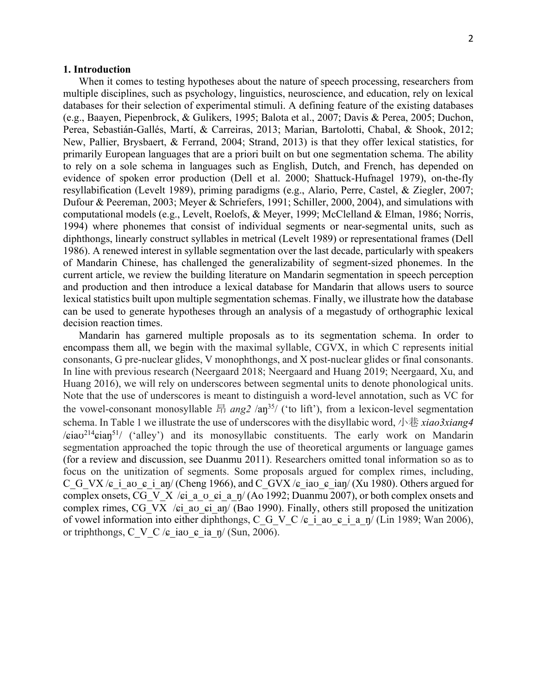## **1. Introduction**

When it comes to testing hypotheses about the nature of speech processing, researchers from multiple disciplines, such as psychology, linguistics, neuroscience, and education, rely on lexical databases for their selection of experimental stimuli. A defining feature of the existing databases (e.g., Baayen, Piepenbrock, & Gulikers, 1995; Balota et al., 2007; Davis & Perea, 2005; Duchon, Perea, Sebastián-Gallés, Martí, & Carreiras, 2013; Marian, Bartolotti, Chabal, & Shook, 2012; New, Pallier, Brysbaert, & Ferrand, 2004; Strand, 2013) is that they offer lexical statistics, for primarily European languages that are a priori built on but one segmentation schema. The ability to rely on a sole schema in languages such as English, Dutch, and French, has depended on evidence of spoken error production (Dell et al. 2000; Shattuck-Hufnagel 1979), on-the-fly resyllabification (Levelt 1989), priming paradigms (e.g., Alario, Perre, Castel, & Ziegler, 2007; Dufour & Peereman, 2003; Meyer & Schriefers, 1991; Schiller, 2000, 2004), and simulations with computational models (e.g., Levelt, Roelofs, & Meyer, 1999; McClelland & Elman, 1986; Norris, 1994) where phonemes that consist of individual segments or near-segmental units, such as diphthongs, linearly construct syllables in metrical (Levelt 1989) or representational frames (Dell 1986). A renewed interest in syllable segmentation over the last decade, particularly with speakers of Mandarin Chinese, has challenged the generalizability of segment-sized phonemes. In the current article, we review the building literature on Mandarin segmentation in speech perception and production and then introduce a lexical database for Mandarin that allows users to source lexical statistics built upon multiple segmentation schemas. Finally, we illustrate how the database can be used to generate hypotheses through an analysis of a megastudy of orthographic lexical decision reaction times.

Mandarin has garnered multiple proposals as to its segmentation schema. In order to encompass them all, we begin with the maximal syllable, CGVX, in which C represents initial consonants, G pre-nuclear glides, V monophthongs, and X post-nuclear glides or final consonants. In line with previous research (Neergaard 2018; Neergaard and Huang 2019; Neergaard, Xu, and Huang 2016), we will rely on underscores between segmental units to denote phonological units. Note that the use of underscores is meant to distinguish a word-level annotation, such as VC for the vowel-consonant monosyllable 昂 ang2 /aŋ<sup>35</sup>/ ('to lift'), from a lexicon-level segmentation schema. In Table 1 we illustrate the use of underscores with the disyllabic word, 小巷 *xiao3xiang4*  $\sqrt{\pi}$ iav<sup>214</sup> $\sin^{51}$  ('alley') and its monosyllabic constituents. The early work on Mandarin segmentation approached the topic through the use of theoretical arguments or language games (for a review and discussion, see Duanmu 2011). Researchers omitted tonal information so as to focus on the unitization of segments. Some proposals argued for complex rimes, including, C\_G\_VX / $\epsilon$  i av  $\epsilon$  i an/ (Cheng 1966), and C\_GVX / $\epsilon$  iav  $\epsilon$  ian/ (Xu 1980). Others argued for complex onsets, CG\_V\_X / $\epsilon$ i\_a\_v\_ $\epsilon$ i\_a\_n/ (Ao 1992; Duanmu 2007), or both complex onsets and complex rimes, CG\_VX / $\epsilon$ i av  $\epsilon$ i an/ (Bao 1990). Finally, others still proposed the unitization of vowel information into either diphthongs, C\_G\_V\_C / $\epsilon$ \_i\_av\_ $\epsilon$ \_i\_a\_ŋ/ (Lin 1989; Wan 2006), or triphthongs, C\_V\_C / $\epsilon$  iav  $\epsilon$  ia  $\eta$ / (Sun, 2006).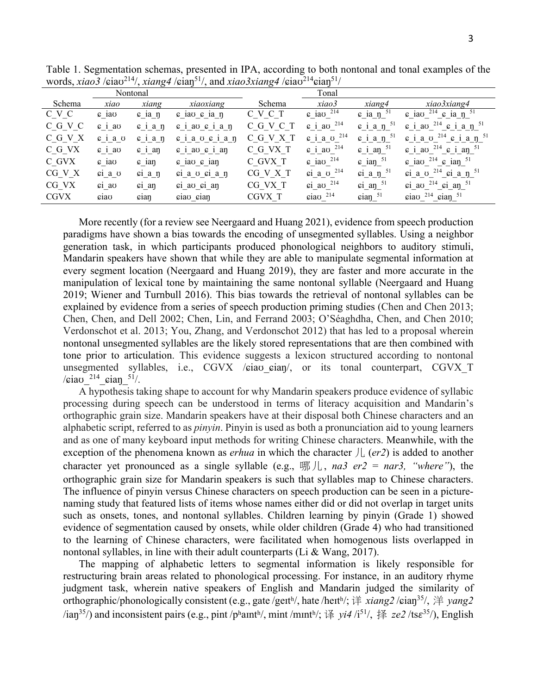| Nontonal    |                 |                      |                                       | Tonal     |                                        |                                     |                                                             |
|-------------|-----------------|----------------------|---------------------------------------|-----------|----------------------------------------|-------------------------------------|-------------------------------------------------------------|
| Schema      | xiao            | xiang                | xiaoxiang                             | Schema    | xiao3                                  | xiang4                              | xiao3xiang4                                                 |
| C V C       | $\epsilon$ iao  | $\epsilon$ 12 $\eta$ | $\epsilon$ iao $\epsilon$ ia n        | C V C T   | $\epsilon$ iao $^{214}$                | $\epsilon$ ia $\eta$ <sup>51</sup>  | $\epsilon$ iao <sup>214</sup> $\epsilon$ ia n <sup>51</sup> |
| C G V C     | $\epsilon$ i av | $c$ i a $n$          | $\epsilon$ i av $\epsilon$ i a $\eta$ | C G V C T | $\epsilon$ i av $^{214}$               | $\sin$ i a n $51$                   | $\epsilon$ i av $^{214}$ $\epsilon$ i a n $^{51}$           |
| C G V X     | $c$ i a $v$     | $c$ i a $n$          | $c$ i a $\sigma$ $c$ i a $\eta$       | C G V X T | $\epsilon$ i a $\sigma$ <sup>214</sup> | $\epsilon$ i a $\eta$ <sup>51</sup> | $\epsilon$ i a v $^{214}$ $\epsilon$ i a n $^{51}$          |
| C G VX      | 61a0            | $c$ 1 an             | $6$ 1 av $6$ 1 an                     | C G VX T  | $\epsilon$ i ao $^{214}$               | $\epsilon$ i an $51$                | $\epsilon$ i ao $^{214}$ $\epsilon$ i an $^{51}$            |
| C GVX       | $\epsilon$ iao  | $\epsilon$ ian       | $\epsilon$ iao $\epsilon$ ian         | C GVX T   | $\epsilon$ iao $^{214}$                | $\epsilon$ ian $51$                 | $\epsilon$ iao <sup>214</sup> $\epsilon$ ian <sup>51</sup>  |
| CG V X      | ci a v          | $\sin a$ n           | $\sin a$ $\sin a$ $\sin a$            | CG V X T  | $\pi$ a v $^{214}$                     | $\sin a \eta^{51}$                  | ci a o $^{214}$ ci a n $^{51}$                              |
| CG VX       | $\sin a\sigma$  | $c1$ an              | ci ao ci an                           | CG VX T   | $\sin$ ao $^{214}$                     | $\sin \text{an} \frac{51}{2}$       | $\pi$ i ao <sup>214</sup> $\pi$ i an <sup>51</sup>          |
| <b>CGVX</b> | ciao            | cian                 | ciao cian                             | CGVX T    | $\sin \theta$ <sup>214</sup>           | $\sin^{-51}$                        | $\sin \frac{214}{\pi} \cdot \sin \frac{51}{2}$              |

Table 1. Segmentation schemas, presented in IPA, according to both nontonal and tonal examples of the words, *xiao3* /ɕiaʊ214/, *xiang4* /ɕiaŋ51/, and *xiao3xiang4* /ɕiaʊ214ɕiaŋ51/

More recently (for a review see Neergaard and Huang 2021), evidence from speech production paradigms have shown a bias towards the encoding of unsegmented syllables. Using a neighbor generation task, in which participants produced phonological neighbors to auditory stimuli, Mandarin speakers have shown that while they are able to manipulate segmental information at every segment location (Neergaard and Huang 2019), they are faster and more accurate in the manipulation of lexical tone by maintaining the same nontonal syllable (Neergaard and Huang 2019; Wiener and Turnbull 2016). This bias towards the retrieval of nontonal syllables can be explained by evidence from a series of speech production priming studies (Chen and Chen 2013; Chen, Chen, and Dell 2002; Chen, Lin, and Ferrand 2003; O'Séaghdha, Chen, and Chen 2010; Verdonschot et al. 2013; You, Zhang, and Verdonschot 2012) that has led to a proposal wherein nontonal unsegmented syllables are the likely stored representations that are then combined with tone prior to articulation. This evidence suggests a lexicon structured according to nontonal unsegmented syllables, i.e.,  $CGVX$  / $\varepsilon$ ia $\upsilon$  eia $\eta'$ , or its tonal counterpart, CGVX T / $\pi$ iau<sup>214</sup> cian<sup>51</sup>/.

A hypothesis taking shape to account for why Mandarin speakers produce evidence of syllabic processing during speech can be understood in terms of literacy acquisition and Mandarin's orthographic grain size. Mandarin speakers have at their disposal both Chinese characters and an alphabetic script, referred to as *pinyin*. Pinyin is used as both a pronunciation aid to young learners and as one of many keyboard input methods for writing Chinese characters. Meanwhile, with the exception of the phenomena known as *erhua* in which the character  $J_{\mu}$  (*er2*) is added to another character yet pronounced as a single syllable (e.g., 哪儿, *na3 er2* = *nar3, "where"*), the orthographic grain size for Mandarin speakers is such that syllables map to Chinese characters. The influence of pinyin versus Chinese characters on speech production can be seen in a picturenaming study that featured lists of items whose names either did or did not overlap in target units such as onsets, tones, and nontonal syllables. Children learning by pinyin (Grade 1) showed evidence of segmentation caused by onsets, while older children (Grade 4) who had transitioned to the learning of Chinese characters, were facilitated when homogenous lists overlapped in nontonal syllables, in line with their adult counterparts (Li & Wang, 2017).

The mapping of alphabetic letters to segmental information is likely responsible for restructuring brain areas related to phonological processing. For instance, in an auditory rhyme judgment task, wherein native speakers of English and Mandarin judged the similarity of orthographic/phonologically consistent (e.g., gate /geɪtʰ/, hate /heɪtʰ/; 详 *xiang2* /ɕiaŋ35/, 洋 *yang2*   $\gamma$ ian<sup>35</sup>/) and inconsistent pairs (e.g., pint /phainth/, mint /minth/; 译 *yi4* /i<sup>51</sup>/, 择 *ze2* /ts $\varepsilon$ <sup>35</sup>/), English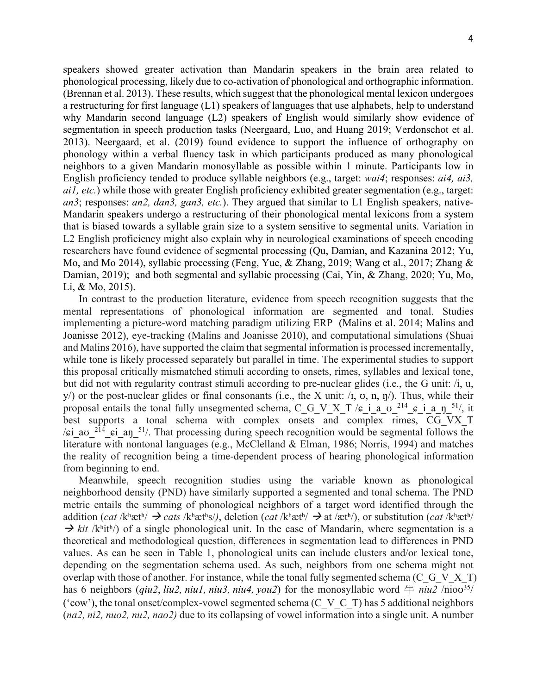speakers showed greater activation than Mandarin speakers in the brain area related to phonological processing, likely due to co-activation of phonological and orthographic information. (Brennan et al. 2013). These results, which suggest that the phonological mental lexicon undergoes a restructuring for first language (L1) speakers of languages that use alphabets, help to understand why Mandarin second language (L2) speakers of English would similarly show evidence of segmentation in speech production tasks (Neergaard, Luo, and Huang 2019; Verdonschot et al. 2013). Neergaard, et al. (2019) found evidence to support the influence of orthography on phonology within a verbal fluency task in which participants produced as many phonological neighbors to a given Mandarin monosyllable as possible within 1 minute. Participants low in English proficiency tended to produce syllable neighbors (e.g., target: *wai4*; responses: *ai4, ai3, ai1, etc.*) while those with greater English proficiency exhibited greater segmentation (e.g., target: *an3*; responses: *an2, dan3, gan3, etc.*). They argued that similar to L1 English speakers, native-Mandarin speakers undergo a restructuring of their phonological mental lexicons from a system that is biased towards a syllable grain size to a system sensitive to segmental units. Variation in L2 English proficiency might also explain why in neurological examinations of speech encoding researchers have found evidence of segmental processing (Qu, Damian, and Kazanina 2012; Yu, Mo, and Mo 2014), syllabic processing (Feng, Yue, & Zhang, 2019; Wang et al., 2017; Zhang & Damian, 2019); and both segmental and syllabic processing (Cai, Yin, & Zhang, 2020; Yu, Mo, Li, & Mo, 2015).

In contrast to the production literature, evidence from speech recognition suggests that the mental representations of phonological information are segmented and tonal. Studies implementing a picture-word matching paradigm utilizing ERP (Malins et al. 2014; Malins and Joanisse 2012), eye-tracking (Malins and Joanisse 2010), and computational simulations (Shuai and Malins 2016), have supported the claim that segmental information is processed incrementally, while tone is likely processed separately but parallel in time. The experimental studies to support this proposal critically mismatched stimuli according to onsets, rimes, syllables and lexical tone, but did not with regularity contrast stimuli according to pre-nuclear glides (i.e., the G unit: /i, u,  $y$ ) or the post-nuclear glides or final consonants (i.e., the X unit:  $\lambda$ ,  $v$ , n,  $\eta$ ). Thus, while their proposal entails the tonal fully unsegmented schema, C\_G\_V\_X\_T / $\epsilon$  i a\_v\_<sup>214</sup>\_ $\epsilon$  i a\_n\_<sup>51</sup>/, it best supports a tonal schema with complex onsets and complex rimes, CG\_VX\_T / $\pi$ i av <sup>214</sup>  $\pi$ i an <sup>51</sup>/. That processing during speech recognition would be segmental follows the literature with nontonal languages (e.g., McClelland & Elman, 1986; Norris, 1994) and matches the reality of recognition being a time-dependent process of hearing phonological information from beginning to end.

Meanwhile, speech recognition studies using the variable known as phonological neighborhood density (PND) have similarly supported a segmented and tonal schema. The PND metric entails the summing of phonological neighbors of a target word identified through the addition (*cat* /kʰætʰ/  $\rightarrow$  *cats* /kʰætʰs/), deletion (*cat* /kʰætʰ/  $\rightarrow$  at /ætʰ/), or substitution (*cat* /kʰætʰ/  $\rightarrow$  kit /kʰitʰ/) of a single phonological unit. In the case of Mandarin, where segmentation is a theoretical and methodological question, differences in segmentation lead to differences in PND values. As can be seen in Table 1, phonological units can include clusters and/or lexical tone, depending on the segmentation schema used. As such, neighbors from one schema might not overlap with those of another. For instance, while the tonal fully segmented schema (C\_G\_V  $X$  T) has 6 neighbors (*qiu2*, *liu2*, *niu1*, *niu3*, *niu4*, *you2*) for the monosyllabic word  $\pm$  *niu2* /niov<sup>35</sup>/ ('cow'), the tonal onset/complex-vowel segmented schema (C\_V\_C\_T) has 5 additional neighbors (*na2, ni2, nuo2, nu2, nao2)* due to its collapsing of vowel information into a single unit. A number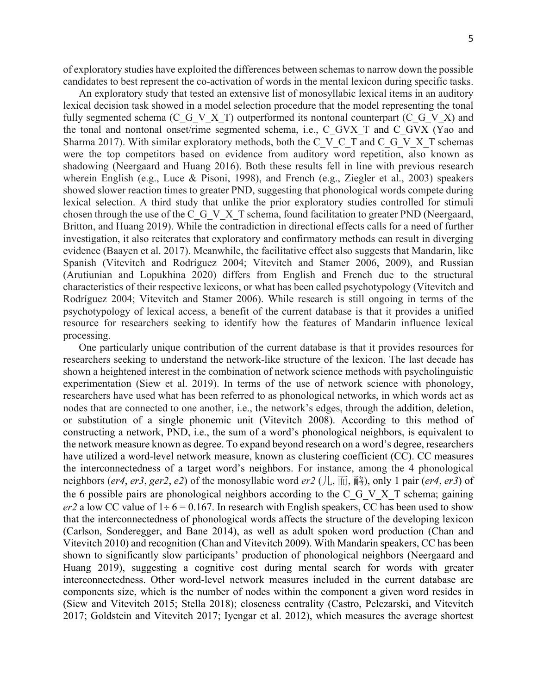of exploratory studies have exploited the differences between schemasto narrow down the possible candidates to best represent the co-activation of words in the mental lexicon during specific tasks.

An exploratory study that tested an extensive list of monosyllabic lexical items in an auditory lexical decision task showed in a model selection procedure that the model representing the tonal fully segmented schema (C\_G\_V\_X\_T) outperformed its nontonal counterpart (C\_G\_V\_X) and the tonal and nontonal onset/rime segmented schema, i.e., C\_GVX\_T and C\_GVX (Yao and Sharma 2017). With similar exploratory methods, both the C\_V\_C\_T and C\_G\_V\_X\_T schemas were the top competitors based on evidence from auditory word repetition, also known as shadowing (Neergaard and Huang 2016). Both these results fell in line with previous research wherein English (e.g., Luce & Pisoni, 1998), and French (e.g., Ziegler et al., 2003) speakers showed slower reaction times to greater PND, suggesting that phonological words compete during lexical selection. A third study that unlike the prior exploratory studies controlled for stimuli chosen through the use of the C\_G\_V\_X\_T schema, found facilitation to greater PND (Neergaard, Britton, and Huang 2019). While the contradiction in directional effects calls for a need of further investigation, it also reiterates that exploratory and confirmatory methods can result in diverging evidence (Baayen et al. 2017). Meanwhile, the facilitative effect also suggests that Mandarin, like Spanish (Vitevitch and Rodríguez 2004; Vitevitch and Stamer 2006, 2009), and Russian (Arutiunian and Lopukhina 2020) differs from English and French due to the structural characteristics of their respective lexicons, or what has been called psychotypology (Vitevitch and Rodríguez 2004; Vitevitch and Stamer 2006). While research is still ongoing in terms of the psychotypology of lexical access, a benefit of the current database is that it provides a unified resource for researchers seeking to identify how the features of Mandarin influence lexical processing.

One particularly unique contribution of the current database is that it provides resources for researchers seeking to understand the network-like structure of the lexicon. The last decade has shown a heightened interest in the combination of network science methods with psycholinguistic experimentation (Siew et al. 2019). In terms of the use of network science with phonology, researchers have used what has been referred to as phonological networks, in which words act as nodes that are connected to one another, i.e., the network's edges, through the addition, deletion, or substitution of a single phonemic unit (Vitevitch 2008). According to this method of constructing a network, PND, i.e., the sum of a word's phonological neighbors, is equivalent to the network measure known as degree. To expand beyond research on a word's degree, researchers have utilized a word-level network measure, known as clustering coefficient (CC). CC measures the interconnectedness of a target word's neighbors. For instance, among the 4 phonological neighbors (*er4*, *er3*, *ger2*, *e2*) of the monosyllabic word *er2* (儿, 而, 鸸), only 1 pair (*er4*, *er3*) of the 6 possible pairs are phonological neighbors according to the C\_G\_V\_X\_T schema; gaining *er2* a low CC value of  $1 \div 6 = 0.167$ . In research with English speakers, CC has been used to show that the interconnectedness of phonological words affects the structure of the developing lexicon (Carlson, Sonderegger, and Bane 2014), as well as adult spoken word production (Chan and Vitevitch 2010) and recognition (Chan and Vitevitch 2009). With Mandarin speakers, CC has been shown to significantly slow participants' production of phonological neighbors (Neergaard and Huang 2019), suggesting a cognitive cost during mental search for words with greater interconnectedness. Other word-level network measures included in the current database are components size, which is the number of nodes within the component a given word resides in (Siew and Vitevitch 2015; Stella 2018); closeness centrality (Castro, Pelczarski, and Vitevitch 2017; Goldstein and Vitevitch 2017; Iyengar et al. 2012), which measures the average shortest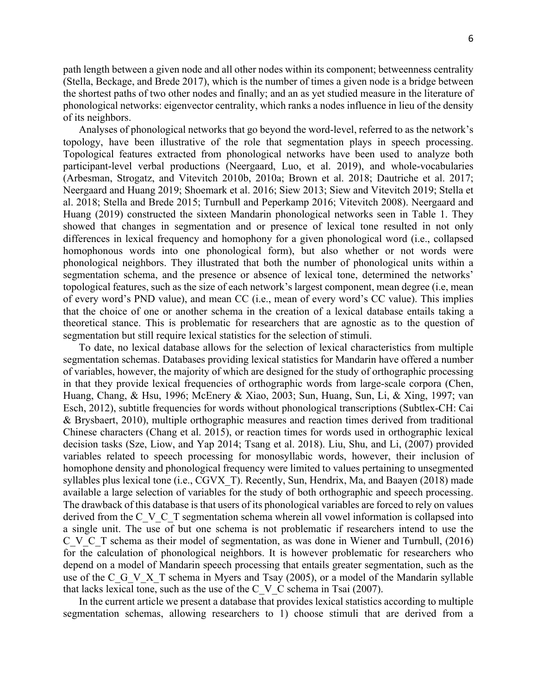path length between a given node and all other nodes within its component; betweenness centrality (Stella, Beckage, and Brede 2017), which is the number of times a given node is a bridge between the shortest paths of two other nodes and finally; and an as yet studied measure in the literature of phonological networks: eigenvector centrality, which ranks a nodes influence in lieu of the density of its neighbors.

Analyses of phonological networks that go beyond the word-level, referred to as the network's topology, have been illustrative of the role that segmentation plays in speech processing. Topological features extracted from phonological networks have been used to analyze both participant-level verbal productions (Neergaard, Luo, et al. 2019), and whole-vocabularies (Arbesman, Strogatz, and Vitevitch 2010b, 2010a; Brown et al. 2018; Dautriche et al. 2017; Neergaard and Huang 2019; Shoemark et al. 2016; Siew 2013; Siew and Vitevitch 2019; Stella et al. 2018; Stella and Brede 2015; Turnbull and Peperkamp 2016; Vitevitch 2008). Neergaard and Huang (2019) constructed the sixteen Mandarin phonological networks seen in Table 1. They showed that changes in segmentation and or presence of lexical tone resulted in not only differences in lexical frequency and homophony for a given phonological word (i.e., collapsed homophonous words into one phonological form), but also whether or not words were phonological neighbors. They illustrated that both the number of phonological units within a segmentation schema, and the presence or absence of lexical tone, determined the networks' topological features, such as the size of each network's largest component, mean degree (i.e, mean of every word's PND value), and mean CC (i.e., mean of every word's CC value). This implies that the choice of one or another schema in the creation of a lexical database entails taking a theoretical stance. This is problematic for researchers that are agnostic as to the question of segmentation but still require lexical statistics for the selection of stimuli.

To date, no lexical database allows for the selection of lexical characteristics from multiple segmentation schemas. Databases providing lexical statistics for Mandarin have offered a number of variables, however, the majority of which are designed for the study of orthographic processing in that they provide lexical frequencies of orthographic words from large-scale corpora (Chen, Huang, Chang, & Hsu, 1996; McEnery & Xiao, 2003; Sun, Huang, Sun, Li, & Xing, 1997; van Esch, 2012), subtitle frequencies for words without phonological transcriptions (Subtlex-CH: Cai & Brysbaert, 2010), multiple orthographic measures and reaction times derived from traditional Chinese characters (Chang et al. 2015), or reaction times for words used in orthographic lexical decision tasks (Sze, Liow, and Yap 2014; Tsang et al. 2018). Liu, Shu, and Li, (2007) provided variables related to speech processing for monosyllabic words, however, their inclusion of homophone density and phonological frequency were limited to values pertaining to unsegmented syllables plus lexical tone (i.e., CGVX T). Recently, Sun, Hendrix, Ma, and Baayen (2018) made available a large selection of variables for the study of both orthographic and speech processing. The drawback of this database is that users of its phonological variables are forced to rely on values derived from the C<sub>V</sub> C<sub>T</sub> segmentation schema wherein all vowel information is collapsed into a single unit. The use of but one schema is not problematic if researchers intend to use the C\_V\_C\_T schema as their model of segmentation, as was done in Wiener and Turnbull, (2016) for the calculation of phonological neighbors. It is however problematic for researchers who depend on a model of Mandarin speech processing that entails greater segmentation, such as the use of the C<sub>G</sub>V<sub>X</sub> T schema in Myers and Tsay (2005), or a model of the Mandarin syllable that lacks lexical tone, such as the use of the C\_V\_C schema in Tsai  $(2007)$ .

In the current article we present a database that provides lexical statistics according to multiple segmentation schemas, allowing researchers to 1) choose stimuli that are derived from a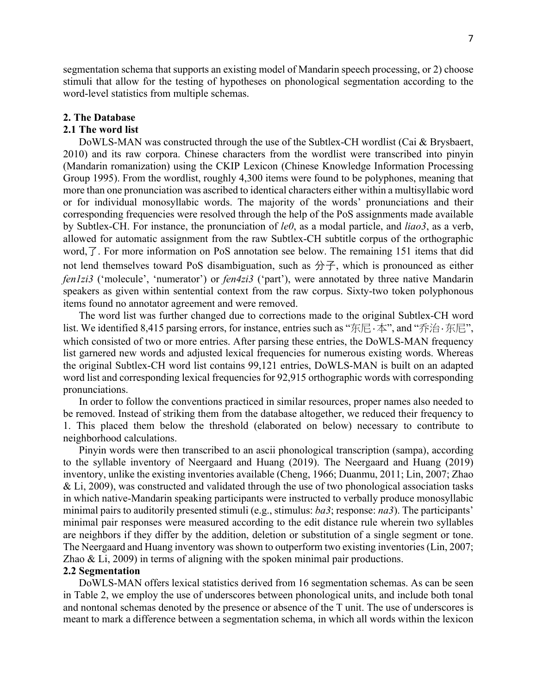segmentation schema that supports an existing model of Mandarin speech processing, or 2) choose stimuli that allow for the testing of hypotheses on phonological segmentation according to the word-level statistics from multiple schemas.

#### **2. The Database**

## **2.1 The word list**

DoWLS-MAN was constructed through the use of the Subtlex-CH wordlist (Cai & Brysbaert, 2010) and its raw corpora. Chinese characters from the wordlist were transcribed into pinyin (Mandarin romanization) using the CKIP Lexicon (Chinese Knowledge Information Processing Group 1995). From the wordlist, roughly 4,300 items were found to be polyphones, meaning that more than one pronunciation was ascribed to identical characters either within a multisyllabic word or for individual monosyllabic words. The majority of the words' pronunciations and their corresponding frequencies were resolved through the help of the PoS assignments made available by Subtlex-CH. For instance, the pronunciation of *le0*, as a modal particle, and *liao3*, as a verb, allowed for automatic assignment from the raw Subtlex-CH subtitle corpus of the orthographic word,了. For more information on PoS annotation see below. The remaining 151 items that did not lend themselves toward PoS disambiguation, such as  $\hat{\pi}$ , which is pronounced as either *fen1zi3* ('molecule', 'numerator') or *fen4zi3* ('part'), were annotated by three native Mandarin speakers as given within sentential context from the raw corpus. Sixty-two token polyphonous items found no annotator agreement and were removed.

The word list was further changed due to corrections made to the original Subtlex-CH word list. We identified 8,415 parsing errors, for instance, entries such as "东尼·本", and "乔治·东尼", which consisted of two or more entries. After parsing these entries, the DoWLS-MAN frequency list garnered new words and adjusted lexical frequencies for numerous existing words. Whereas the original Subtlex-CH word list contains 99,121 entries, DoWLS-MAN is built on an adapted word list and corresponding lexical frequencies for 92,915 orthographic words with corresponding pronunciations.

In order to follow the conventions practiced in similar resources, proper names also needed to be removed. Instead of striking them from the database altogether, we reduced their frequency to 1. This placed them below the threshold (elaborated on below) necessary to contribute to neighborhood calculations.

Pinyin words were then transcribed to an ascii phonological transcription (sampa), according to the syllable inventory of Neergaard and Huang (2019). The Neergaard and Huang (2019) inventory, unlike the existing inventories available (Cheng, 1966; Duanmu, 2011; Lin, 2007; Zhao & Li, 2009), was constructed and validated through the use of two phonological association tasks in which native-Mandarin speaking participants were instructed to verbally produce monosyllabic minimal pairs to auditorily presented stimuli (e.g., stimulus: *ba3*; response: *na3*). The participants' minimal pair responses were measured according to the edit distance rule wherein two syllables are neighbors if they differ by the addition, deletion or substitution of a single segment or tone. The Neergaard and Huang inventory was shown to outperform two existing inventories (Lin, 2007; Zhao & Li, 2009) in terms of aligning with the spoken minimal pair productions.

## **2.2 Segmentation**

DoWLS-MAN offers lexical statistics derived from 16 segmentation schemas. As can be seen in Table 2, we employ the use of underscores between phonological units, and include both tonal and nontonal schemas denoted by the presence or absence of the T unit. The use of underscores is meant to mark a difference between a segmentation schema, in which all words within the lexicon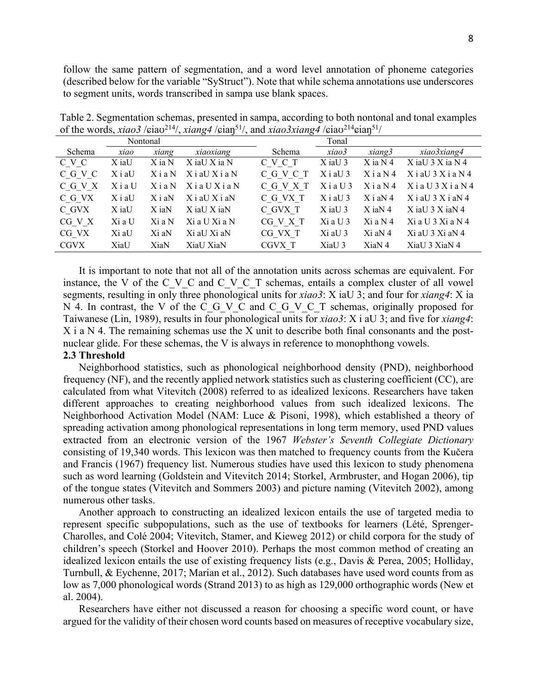follow the same pattern of segmentation, and a word level annotation of phoneme categories (described below for the variable "SyStruct"). Note that while schema annotations use underscores to segment units, words transcribed in sampa use blank spaces.

|             |          |             | $\sim$             | $\sim$    |            |             |                       |
|-------------|----------|-------------|--------------------|-----------|------------|-------------|-----------------------|
| Nontonal    |          |             |                    | Tonal     |            |             |                       |
| Schema      | xiao     | xiang       | xiaoxiang          | Schema    | xiao3      | xiang3      | xiao3xiang4           |
| C V C       | X iaU    | X ia N      | X iaU X ia N       | C V C T   | $X$ iaU 3  | $X$ ia $N4$ | $X$ ia U 3 $X$ ia N 4 |
| C G V C     | XiaU     | $X$ i a N   | $X$ i aU $X$ i a N | C G V C T | $X$ i aU 3 | $X$ ia N4   | $X$ i aU $3X$ i a N 4 |
| C G V X     | XiaU     | $X$ i a $N$ | XiaUXiaN           | C G V X T | $X$ ia U 3 | $X$ i a N 4 | $X$ ia U 3 $X$ ia N 4 |
| C G VX      | $X$ i aU | $X$ i aN    | $X$ i aU $X$ i aN  | C G VX T  | $X$ i aU 3 | $X$ i aN 4  | $X$ i aU $3 X$ i aN 4 |
| C GVX       | X iaU    | X iaN       | X iaU X iaN        | C GVX T   | $X$ iaU 3  | $X$ iaN 4   | $X$ iaU 3 $X$ iaN 4   |
| CG V X      | Xi a U   | Xi a N      | Xi a U Xi a N      | CG V X T  | $Xi$ a U 3 | $Xi$ a N 4  | Xi a U 3 Xi a N 4     |
| CG VX       | Xi aU    | Xi aN       | Xi aU Xi aN        | CG VX T   | Xi aU 3    | $Xi$ aN 4   | Xi aU 3 Xi aN 4       |
| <b>CGVX</b> | XiaU     | XiaN        | XiaU XiaN          | CGVX T    | XiaU 3     | XiaN 4      | XiaU 3 XiaN 4         |

Table 2. Segmentation schemas, presented in sampa, according to both nontonal and tonal examples of the words, *xiao3* /ɕiaʊ214/, *xiang4* /ɕiaŋ51/, and *xiao3xiang4* /ɕiaʊ214ɕiaŋ51/

It is important to note that not all of the annotation units across schemas are equivalent. For instance, the V of the C\_V\_C and C\_V\_C\_T schemas, entails a complex cluster of all vowel segments, resulting in only three phonological units for *xiao3*: X iaU 3; and four for *xiang4*: X ia N 4. In contrast, the V of the C G V C and C G V C T schemas, originally proposed for Taiwanese (Lin, 1989), results in four phonological units for *xiao3*: X i aU 3; and five for *xiang4*:  $X$  i a N 4. The remaining schemas use the X unit to describe both final consonants and the postnuclear glide. For these schemas, the V is always in reference to monophthong vowels.

## **2.3 Threshold**

Neighborhood statistics, such as phonological neighborhood density (PND), neighborhood frequency (NF), and the recently applied network statistics such as clustering coefficient (CC), are calculated from what Vitevitch (2008) referred to as idealized lexicons. Researchers have taken different approaches to creating neighborhood values from such idealized lexicons. The Neighborhood Activation Model (NAM: Luce & Pisoni, 1998), which established a theory of spreading activation among phonological representations in long term memory, used PND values extracted from an electronic version of the 1967 *Webster's Seventh Collegiate Dictionary* consisting of 19,340 words. This lexicon was then matched to frequency counts from the Kučera and Francis (1967) frequency list. Numerous studies have used this lexicon to study phenomena such as word learning (Goldstein and Vitevitch 2014; Storkel, Armbruster, and Hogan 2006), tip of the tongue states (Vitevitch and Sommers 2003) and picture naming (Vitevitch 2002), among numerous other tasks.

Another approach to constructing an idealized lexicon entails the use of targeted media to represent specific subpopulations, such as the use of textbooks for learners (Lété, Sprenger-Charolles, and Colé 2004; Vitevitch, Stamer, and Kieweg 2012) or child corpora for the study of children's speech (Storkel and Hoover 2010). Perhaps the most common method of creating an idealized lexicon entails the use of existing frequency lists (e.g., Davis & Perea, 2005; Holliday, Turnbull, & Eychenne, 2017; Marian et al., 2012). Such databases have used word counts from as low as 7,000 phonological words (Strand 2013) to as high as 129,000 orthographic words (New et al. 2004).

Researchers have either not discussed a reason for choosing a specific word count, or have argued for the validity of their chosen word counts based on measures of receptive vocabulary size,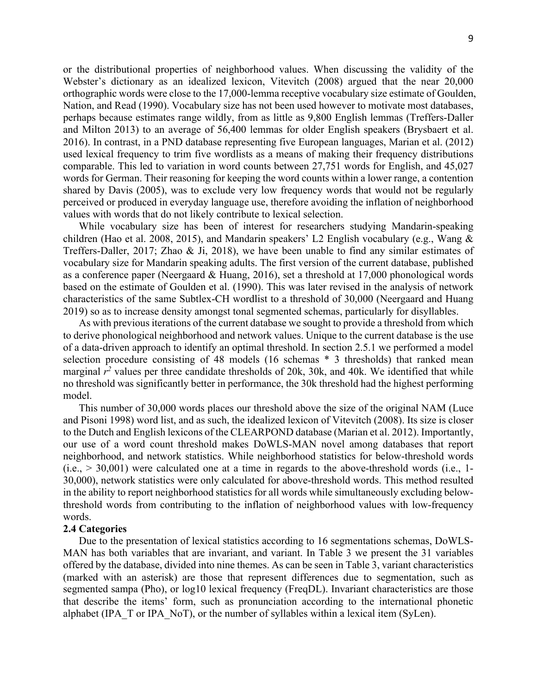or the distributional properties of neighborhood values. When discussing the validity of the Webster's dictionary as an idealized lexicon, Vitevitch (2008) argued that the near 20,000 orthographic words were close to the 17,000-lemma receptive vocabulary size estimate of Goulden, Nation, and Read (1990). Vocabulary size has not been used however to motivate most databases, perhaps because estimates range wildly, from as little as 9,800 English lemmas (Treffers-Daller and Milton 2013) to an average of 56,400 lemmas for older English speakers (Brysbaert et al. 2016). In contrast, in a PND database representing five European languages, Marian et al. (2012) used lexical frequency to trim five wordlists as a means of making their frequency distributions comparable. This led to variation in word counts between 27,751 words for English, and 45,027 words for German. Their reasoning for keeping the word counts within a lower range, a contention shared by Davis (2005), was to exclude very low frequency words that would not be regularly perceived or produced in everyday language use, therefore avoiding the inflation of neighborhood values with words that do not likely contribute to lexical selection.

While vocabulary size has been of interest for researchers studying Mandarin-speaking children (Hao et al. 2008, 2015), and Mandarin speakers' L2 English vocabulary (e.g., Wang & Treffers-Daller, 2017; Zhao & Ji, 2018), we have been unable to find any similar estimates of vocabulary size for Mandarin speaking adults. The first version of the current database, published as a conference paper (Neergaard & Huang, 2016), set a threshold at 17,000 phonological words based on the estimate of Goulden et al. (1990). This was later revised in the analysis of network characteristics of the same Subtlex-CH wordlist to a threshold of 30,000 (Neergaard and Huang 2019) so as to increase density amongst tonal segmented schemas, particularly for disyllables.

As with previous iterations of the current database we sought to provide a threshold from which to derive phonological neighborhood and network values. Unique to the current database is the use of a data-driven approach to identify an optimal threshold. In section 2.5.1 we performed a model selection procedure consisting of 48 models (16 schemas \* 3 thresholds) that ranked mean marginal  $r^2$  values per three candidate thresholds of 20k, 30k, and 40k. We identified that while no threshold was significantly better in performance, the 30k threshold had the highest performing model.

This number of 30,000 words places our threshold above the size of the original NAM (Luce and Pisoni 1998) word list, and as such, the idealized lexicon of Vitevitch (2008). Its size is closer to the Dutch and English lexicons of the CLEARPOND database (Marian et al. 2012). Importantly, our use of a word count threshold makes DoWLS-MAN novel among databases that report neighborhood, and network statistics. While neighborhood statistics for below-threshold words  $(i.e., > 30,001)$  were calculated one at a time in regards to the above-threshold words (i.e., 1-30,000), network statistics were only calculated for above-threshold words. This method resulted in the ability to report neighborhood statistics for all words while simultaneously excluding belowthreshold words from contributing to the inflation of neighborhood values with low-frequency words.

#### **2.4 Categories**

Due to the presentation of lexical statistics according to 16 segmentations schemas, DoWLS-MAN has both variables that are invariant, and variant. In Table 3 we present the 31 variables offered by the database, divided into nine themes. As can be seen in Table 3, variant characteristics (marked with an asterisk) are those that represent differences due to segmentation, such as segmented sampa (Pho), or log10 lexical frequency (FreqDL). Invariant characteristics are those that describe the items' form, such as pronunciation according to the international phonetic alphabet (IPA\_T or IPA\_NoT), or the number of syllables within a lexical item (SyLen).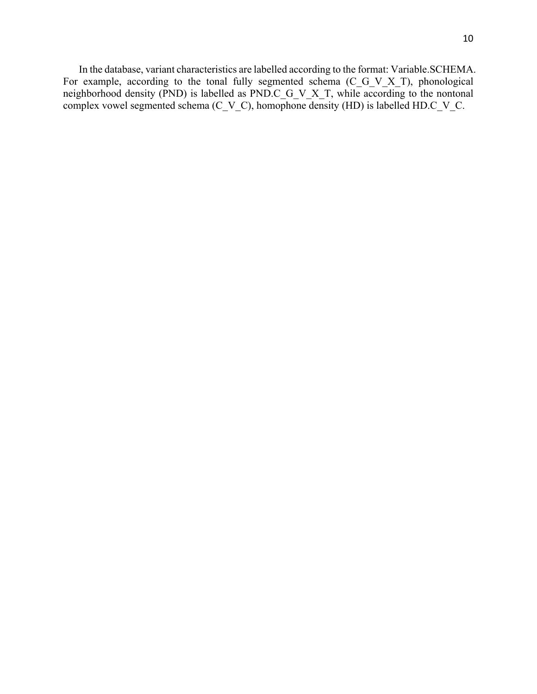In the database, variant characteristics are labelled according to the format: Variable.SCHEMA. For example, according to the tonal fully segmented schema (C\_G\_V\_X\_T), phonological neighborhood density (PND) is labelled as PND.C\_G\_V\_X\_T, while according to the nontonal complex vowel segmented schema  $(C_V_C)$ , homophone density (HD) is labelled HD.C<sub>\_V\_C</sub>.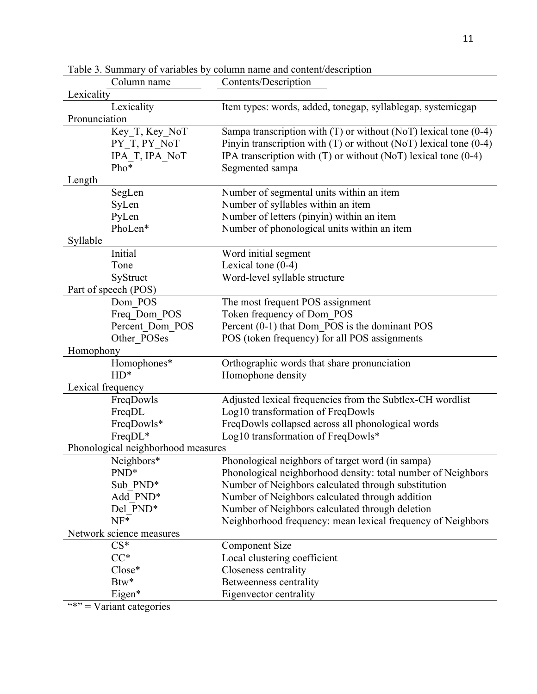|               | Column name                        | Contents/Description                                                |  |  |  |
|---------------|------------------------------------|---------------------------------------------------------------------|--|--|--|
| Lexicality    |                                    |                                                                     |  |  |  |
|               | Lexicality                         | Item types: words, added, tonegap, syllablegap, systemicgap         |  |  |  |
| Pronunciation |                                    |                                                                     |  |  |  |
|               | Key T, Key NoT                     | Sampa transcription with $(T)$ or without (NoT) lexical tone (0-4)  |  |  |  |
|               | PY_T, PY_NoT                       | Pinyin transcription with $(T)$ or without (NoT) lexical tone (0-4) |  |  |  |
|               | IPA_T, IPA_NoT                     | IPA transcription with $(T)$ or without (NoT) lexical tone (0-4)    |  |  |  |
|               | Pho*                               | Segmented sampa                                                     |  |  |  |
| Length        |                                    |                                                                     |  |  |  |
|               | SegLen                             | Number of segmental units within an item                            |  |  |  |
|               | SyLen                              | Number of syllables within an item                                  |  |  |  |
|               | PyLen                              | Number of letters (pinyin) within an item                           |  |  |  |
|               | PhoLen*                            | Number of phonological units within an item                         |  |  |  |
| Syllable      |                                    |                                                                     |  |  |  |
|               | Initial                            | Word initial segment                                                |  |  |  |
|               | Tone                               | Lexical tone $(0-4)$                                                |  |  |  |
|               | SyStruct                           | Word-level syllable structure                                       |  |  |  |
|               | Part of speech (POS)               |                                                                     |  |  |  |
|               | Dom POS                            | The most frequent POS assignment                                    |  |  |  |
|               | Freq Dom POS                       | Token frequency of Dom_POS                                          |  |  |  |
|               | Percent_Dom_POS                    | Percent (0-1) that Dom POS is the dominant POS                      |  |  |  |
|               | Other POSes                        | POS (token frequency) for all POS assignments                       |  |  |  |
| Homophony     |                                    |                                                                     |  |  |  |
|               | Homophones*                        | Orthographic words that share pronunciation                         |  |  |  |
|               | $HD^*$                             | Homophone density                                                   |  |  |  |
|               | Lexical frequency                  |                                                                     |  |  |  |
|               | FreqDowls                          | Adjusted lexical frequencies from the Subtlex-CH wordlist           |  |  |  |
|               | FreqDL                             | Log10 transformation of FreqDowls                                   |  |  |  |
|               | FreqDowls*                         | FreqDowls collapsed across all phonological words                   |  |  |  |
|               | FreqDL*                            | Log10 transformation of FreqDowls*                                  |  |  |  |
|               | Phonological neighborhood measures |                                                                     |  |  |  |
|               | Neighbors*                         | Phonological neighbors of target word (in sampa)                    |  |  |  |
|               | PND <sup>*</sup>                   | Phonological neighborhood density: total number of Neighbors        |  |  |  |
|               | Sub PND*                           | Number of Neighbors calculated through substitution                 |  |  |  |
|               | Add PND*                           | Number of Neighbors calculated through addition                     |  |  |  |
|               | Del PND*                           | Number of Neighbors calculated through deletion                     |  |  |  |
|               | $NF*$                              | Neighborhood frequency: mean lexical frequency of Neighbors         |  |  |  |
|               | Network science measures           |                                                                     |  |  |  |
|               | $CS*$                              | <b>Component Size</b>                                               |  |  |  |
|               | $CC^*$                             | Local clustering coefficient                                        |  |  |  |
|               | Close*                             | Closeness centrality                                                |  |  |  |
|               | Btw*                               | Betweenness centrality                                              |  |  |  |
|               | Eigen*                             | Eigenvector centrality                                              |  |  |  |
|               |                                    |                                                                     |  |  |  |

Table 3. Summary of variables by column name and content/description

 $"$  = Variant categories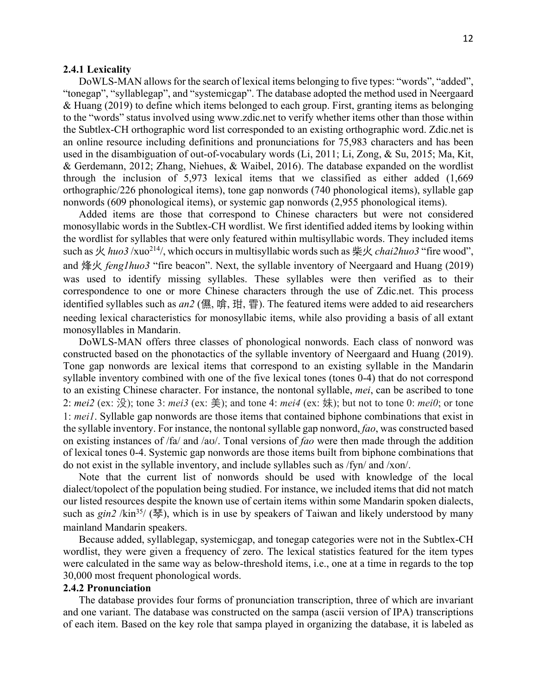## **2.4.1 Lexicality**

DoWLS-MAN allows for the search of lexical items belonging to five types: "words", "added", "tonegap", "syllablegap", and "systemicgap". The database adopted the method used in Neergaard & Huang (2019) to define which items belonged to each group. First, granting items as belonging to the "words" status involved using www.zdic.net to verify whether items other than those within the Subtlex-CH orthographic word list corresponded to an existing orthographic word. Zdic.net is an online resource including definitions and pronunciations for 75,983 characters and has been used in the disambiguation of out-of-vocabulary words (Li, 2011; Li, Zong, & Su, 2015; Ma, Kit, & Gerdemann, 2012; Zhang, Niehues, & Waibel, 2016). The database expanded on the wordlist through the inclusion of 5,973 lexical items that we classified as either added (1,669 orthographic/226 phonological items), tone gap nonwords (740 phonological items), syllable gap nonwords (609 phonological items), or systemic gap nonwords (2,955 phonological items).

Added items are those that correspond to Chinese characters but were not considered monosyllabic words in the Subtlex-CH wordlist. We first identified added items by looking within the wordlist for syllables that were only featured within multisyllabic words. They included items such as 火 *huo3* /xuo<sup>214</sup>/, which occurs in multisyllabic words such as 柴火 *chai2huo3* "fire wood", and 烽火 *feng1huo3* "fire beacon". Next, the syllable inventory of Neergaard and Huang (2019) was used to identify missing syllables. These syllables were then verified as to their correspondence to one or more Chinese characters through the use of Zdic.net. This process identified syllables such as *an2* (儑, 啽, 玵, 雸). The featured items were added to aid researchers needing lexical characteristics for monosyllabic items, while also providing a basis of all extant monosyllables in Mandarin.

DoWLS-MAN offers three classes of phonological nonwords. Each class of nonword was constructed based on the phonotactics of the syllable inventory of Neergaard and Huang (2019). Tone gap nonwords are lexical items that correspond to an existing syllable in the Mandarin syllable inventory combined with one of the five lexical tones (tones 0-4) that do not correspond to an existing Chinese character. For instance, the nontonal syllable, *mei*, can be ascribed to tone 2: *mei2* (ex: 没); tone 3: *mei3* (ex: 美); and tone 4: *mei4* (ex: 妹); but not to tone 0: *mei0*; or tone 1: *mei1*. Syllable gap nonwords are those items that contained biphone combinations that exist in the syllable inventory. For instance, the nontonal syllable gap nonword, *fao*, was constructed based on existing instances of /fa/ and /aʊ/. Tonal versions of *fao* were then made through the addition of lexical tones 0-4. Systemic gap nonwords are those items built from biphone combinations that do not exist in the syllable inventory, and include syllables such as /fyn/ and /xon/.

Note that the current list of nonwords should be used with knowledge of the local dialect/topolect of the population being studied. For instance, we included items that did not match our listed resources despite the known use of certain items within some Mandarin spoken dialects, such as *gin2* /kin<sup>35</sup>/ (琴), which is in use by speakers of Taiwan and likely understood by many mainland Mandarin speakers.

Because added, syllablegap, systemicgap, and tonegap categories were not in the Subtlex-CH wordlist, they were given a frequency of zero. The lexical statistics featured for the item types were calculated in the same way as below-threshold items, i.e., one at a time in regards to the top 30,000 most frequent phonological words.

#### **2.4.2 Pronunciation**

The database provides four forms of pronunciation transcription, three of which are invariant and one variant. The database was constructed on the sampa (ascii version of IPA) transcriptions of each item. Based on the key role that sampa played in organizing the database, it is labeled as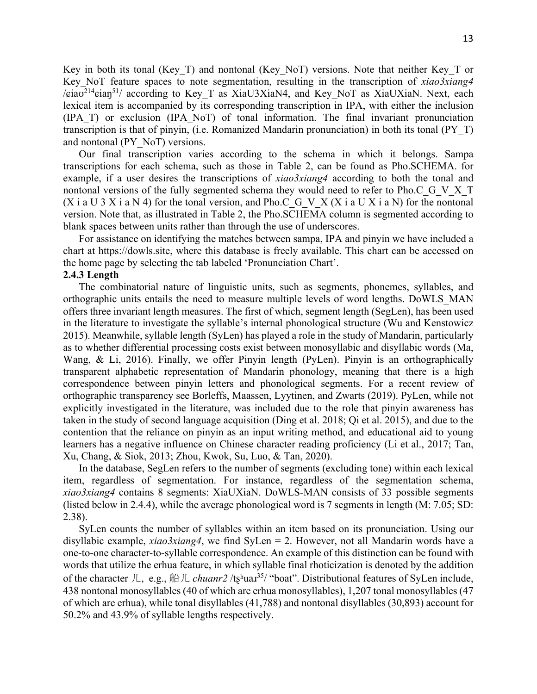Key in both its tonal (Key\_T) and nontonal (Key\_NoT) versions. Note that neither Key\_T or Key NoT feature spaces to note segmentation, resulting in the transcription of *xiao3xiang4*  $\sqrt{\pi}$ ia $\sigma$ <sup>214</sup> $\pi$ ian<sup>51</sup>/ according to Key T as XiaU3XiaN4, and Key NoT as XiaUXiaN. Next, each lexical item is accompanied by its corresponding transcription in IPA, with either the inclusion (IPA\_T) or exclusion (IPA\_NoT) of tonal information. The final invariant pronunciation transcription is that of pinyin, (i.e. Romanized Mandarin pronunciation) in both its tonal (PY\_T) and nontonal (PY\_NoT) versions.

Our final transcription varies according to the schema in which it belongs. Sampa transcriptions for each schema, such as those in Table 2, can be found as Pho.SCHEMA. for example, if a user desires the transcriptions of *xiao3xiang4* according to both the tonal and nontonal versions of the fully segmented schema they would need to refer to Pho.C\_G\_V\_X\_T (X i a U 3 X i a N 4) for the tonal version, and Pho.C\_G\_V\_X (X i a U X i a N) for the nontonal version. Note that, as illustrated in Table 2, the Pho.SCHEMA column is segmented according to blank spaces between units rather than through the use of underscores.

For assistance on identifying the matches between sampa, IPA and pinyin we have included a chart at https://dowls.site, where this database is freely available. This chart can be accessed on the home page by selecting the tab labeled 'Pronunciation Chart'.

## **2.4.3 Length**

The combinatorial nature of linguistic units, such as segments, phonemes, syllables, and orthographic units entails the need to measure multiple levels of word lengths. DoWLS\_MAN offers three invariant length measures. The first of which, segment length (SegLen), has been used in the literature to investigate the syllable's internal phonological structure (Wu and Kenstowicz 2015). Meanwhile, syllable length (SyLen) has played a role in the study of Mandarin, particularly as to whether differential processing costs exist between monosyllabic and disyllabic words (Ma, Wang, & Li, 2016). Finally, we offer Pinyin length (PyLen). Pinyin is an orthographically transparent alphabetic representation of Mandarin phonology, meaning that there is a high correspondence between pinyin letters and phonological segments. For a recent review of orthographic transparency see Borleffs, Maassen, Lyytinen, and Zwarts (2019). PyLen, while not explicitly investigated in the literature, was included due to the role that pinyin awareness has taken in the study of second language acquisition (Ding et al. 2018; Qi et al. 2015), and due to the contention that the reliance on pinyin as an input writing method, and educational aid to young learners has a negative influence on Chinese character reading proficiency (Li et al., 2017; Tan, Xu, Chang, & Siok, 2013; Zhou, Kwok, Su, Luo, & Tan, 2020).

In the database, SegLen refers to the number of segments (excluding tone) within each lexical item, regardless of segmentation. For instance, regardless of the segmentation schema, *xiao3xiang4* contains 8 segments: XiaUXiaN. DoWLS-MAN consists of 33 possible segments (listed below in 2.4.4), while the average phonological word is 7 segments in length (M: 7.05; SD: 2.38).

SyLen counts the number of syllables within an item based on its pronunciation. Using our disyllabic example, *xiao3xiang4*, we find SyLen = 2. However, not all Mandarin words have a one-to-one character-to-syllable correspondence. An example of this distinction can be found with words that utilize the erhua feature, in which syllable final rhoticization is denoted by the addition of the character 儿, e.g., 船儿 *chuanr2* /tʂʰuaɹ35/ "boat". Distributional features of SyLen include, 438 nontonal monosyllables (40 of which are erhua monosyllables), 1,207 tonal monosyllables (47 of which are erhua), while tonal disyllables (41,788) and nontonal disyllables (30,893) account for 50.2% and 43.9% of syllable lengths respectively.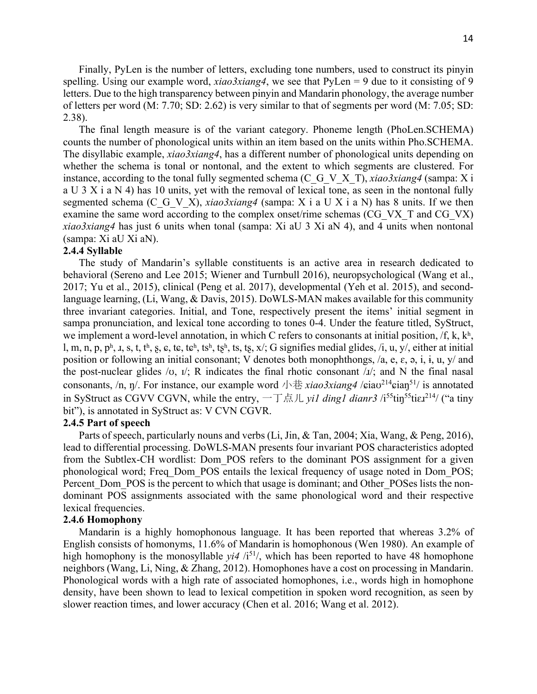Finally, PyLen is the number of letters, excluding tone numbers, used to construct its pinyin spelling. Using our example word, *xiao3xiang4*, we see that PyLen = 9 due to it consisting of 9 letters. Due to the high transparency between pinyin and Mandarin phonology, the average number of letters per word (M: 7.70; SD: 2.62) is very similar to that of segments per word (M: 7.05; SD: 2.38).

The final length measure is of the variant category. Phoneme length (PhoLen.SCHEMA) counts the number of phonological units within an item based on the units within Pho.SCHEMA. The disyllabic example, *xiao3xiang4*, has a different number of phonological units depending on whether the schema is tonal or nontonal, and the extent to which segments are clustered. For instance, according to the tonal fully segmented schema (C\_G\_V\_X\_T), *xiao3xiang4* (sampa: X i a U 3 X i a N 4) has 10 units, yet with the removal of lexical tone, as seen in the nontonal fully segmented schema (C\_G\_V\_X), *xiao3xiang4* (sampa: X i a U X i a N) has 8 units. If we then examine the same word according to the complex onset/rime schemas (CG\_VX\_T and CG\_VX) *xiao3xiang4* has just 6 units when tonal (sampa: Xi aU 3 Xi aN 4), and 4 units when nontonal (sampa: Xi aU Xi aN).

## **2.4.4 Syllable**

The study of Mandarin's syllable constituents is an active area in research dedicated to behavioral (Sereno and Lee 2015; Wiener and Turnbull 2016), neuropsychological (Wang et al., 2017; Yu et al., 2015), clinical (Peng et al. 2017), developmental (Yeh et al. 2015), and secondlanguage learning, (Li, Wang, & Davis, 2015). DoWLS-MAN makes available for this community three invariant categories. Initial, and Tone, respectively present the items' initial segment in sampa pronunciation, and lexical tone according to tones 0-4. Under the feature titled, SyStruct, we implement a word-level annotation, in which C refers to consonants at initial position,  $f, k, k<sup>h</sup>$ , l, m, n, p, ph, 1, s, t, th, s, e, te, teh, tsh, tsh, ts, x/; G signifies medial glides, /i, u, y/, either at initial position or following an initial consonant; V denotes both monophthongs, /a, e,  $\varepsilon$ ,  $\varphi$ , i,  $\varphi$ ,  $\psi$ , and the post-nuclear glides  $\forall$ o,  $\vec{v}$ ; R indicates the final rhotic consonant  $\vec{u}$ ; and N the final nasal consonants, /n, ŋ/. For instance, our example word 小巷 *xiao3xiang4* / $\epsilon$ iao<sup>214</sup> $\epsilon$ ian<sup>51</sup>/ is annotated in SyStruct as CGVV CGVN, while the entry,  $-\top$ 点儿 *yi1 ding1 dianr3* /i<sup>55</sup>tin<sup>55</sup>tiɛ*1*<sup>214</sup>/ ("a tiny bit"), is annotated in SyStruct as: V CVN CGVR.

#### **2.4.5 Part of speech**

Parts of speech, particularly nouns and verbs (Li, Jin, & Tan, 2004; Xia, Wang, & Peng, 2016), lead to differential processing. DoWLS-MAN presents four invariant POS characteristics adopted from the Subtlex-CH wordlist: Dom\_POS refers to the dominant POS assignment for a given phonological word; Freq\_Dom\_POS entails the lexical frequency of usage noted in Dom\_POS; Percent Dom POS is the percent to which that usage is dominant; and Other POSes lists the nondominant POS assignments associated with the same phonological word and their respective lexical frequencies.

#### **2.4.6 Homophony**

Mandarin is a highly homophonous language. It has been reported that whereas 3.2% of English consists of homonyms, 11.6% of Mandarin is homophonous (Wen 1980). An example of high homophony is the monosyllable  $yi4 /i^{51}$ , which has been reported to have 48 homophone neighbors (Wang, Li, Ning, & Zhang, 2012). Homophones have a cost on processing in Mandarin. Phonological words with a high rate of associated homophones, i.e., words high in homophone density, have been shown to lead to lexical competition in spoken word recognition, as seen by slower reaction times, and lower accuracy (Chen et al. 2016; Wang et al. 2012).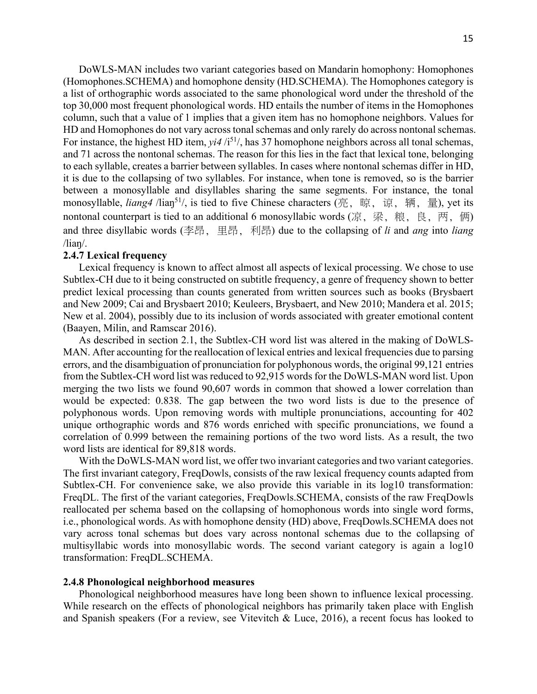DoWLS-MAN includes two variant categories based on Mandarin homophony: Homophones (Homophones.SCHEMA) and homophone density (HD.SCHEMA). The Homophones category is a list of orthographic words associated to the same phonological word under the threshold of the top 30,000 most frequent phonological words. HD entails the number of items in the Homophones column, such that a value of 1 implies that a given item has no homophone neighbors. Values for HD and Homophones do not vary across tonal schemas and only rarely do across nontonal schemas. For instance, the highest HD item,  $vi4/i^{51}$ , has 37 homophone neighbors across all tonal schemas, and 71 across the nontonal schemas. The reason for this lies in the fact that lexical tone, belonging to each syllable, creates a barrier between syllables. In cases where nontonal schemas differ in HD, it is due to the collapsing of two syllables. For instance, when tone is removed, so is the barrier between a monosyllable and disyllables sharing the same segments. For instance, the tonal monosyllable, *liang4* /lian<sup>51</sup>/, is tied to five Chinese characters (亮, 晾, 谅, 辆, 量), yet its nontonal counterpart is tied to an additional 6 monosyllabic words (凉, 梁, 粮, 良, 两, 俩) and three disyllabic words (李昂, 里昂, 利昂) due to the collapsing of *li* and *ang* into *liang*  $\frac{1}{\tan \theta}$ .

## **2.4.7 Lexical frequency**

Lexical frequency is known to affect almost all aspects of lexical processing. We chose to use Subtlex-CH due to it being constructed on subtitle frequency, a genre of frequency shown to better predict lexical processing than counts generated from written sources such as books (Brysbaert and New 2009; Cai and Brysbaert 2010; Keuleers, Brysbaert, and New 2010; Mandera et al. 2015; New et al. 2004), possibly due to its inclusion of words associated with greater emotional content (Baayen, Milin, and Ramscar 2016).

As described in section 2.1, the Subtlex-CH word list was altered in the making of DoWLS-MAN. After accounting for the reallocation of lexical entries and lexical frequencies due to parsing errors, and the disambiguation of pronunciation for polyphonous words, the original 99,121 entries from the Subtlex-CH word list was reduced to 92,915 words for the DoWLS-MAN word list. Upon merging the two lists we found 90,607 words in common that showed a lower correlation than would be expected: 0.838. The gap between the two word lists is due to the presence of polyphonous words. Upon removing words with multiple pronunciations, accounting for 402 unique orthographic words and 876 words enriched with specific pronunciations, we found a correlation of 0.999 between the remaining portions of the two word lists. As a result, the two word lists are identical for 89,818 words.

With the DoWLS-MAN word list, we offer two invariant categories and two variant categories. The first invariant category, FreqDowls, consists of the raw lexical frequency counts adapted from Subtlex-CH. For convenience sake, we also provide this variable in its log10 transformation: FreqDL. The first of the variant categories, FreqDowls.SCHEMA, consists of the raw FreqDowls reallocated per schema based on the collapsing of homophonous words into single word forms, i.e., phonological words. As with homophone density (HD) above, FreqDowls.SCHEMA does not vary across tonal schemas but does vary across nontonal schemas due to the collapsing of multisyllabic words into monosyllabic words. The second variant category is again a log10 transformation: FreqDL.SCHEMA.

#### **2.4.8 Phonological neighborhood measures**

Phonological neighborhood measures have long been shown to influence lexical processing. While research on the effects of phonological neighbors has primarily taken place with English and Spanish speakers (For a review, see Vitevitch & Luce, 2016), a recent focus has looked to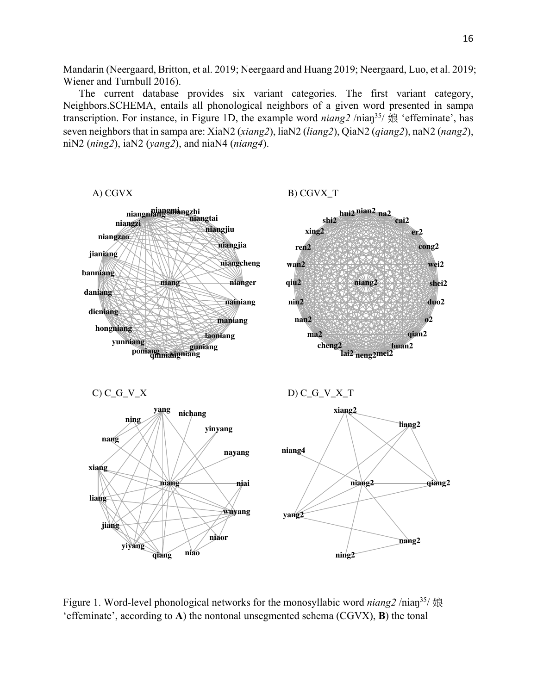Mandarin (Neergaard, Britton, et al. 2019; Neergaard and Huang 2019; Neergaard, Luo, et al. 2019; Wiener and Turnbull 2016).

The current database provides six variant categories. The first variant category, Neighbors.SCHEMA, entails all phonological neighbors of a given word presented in sampa transcription. For instance, in Figure 1D, the example word *niang2* /niaŋ35/ 娘 'effeminate', has seven neighborsthat in sampa are: XiaN2 (*xiang2*), liaN2 (*liang2*), QiaN2 (*qiang2*), naN2 (*nang2*), niN2 (*ning2*), iaN2 (*yang2*), and niaN4 (*niang4*).

**niang nianger niangcheng niangjia niangjiu niangtai niangmi niangzhi niangniang niangzi niangzao jianiang banniang daniang dieniang hongniang yunniang poniang qinniang xinniang guniang laoniang maniang nainiang** A) CGVX **niang2 shei2 wei2 cong2 er2 cai2 na2 nian2 hui2 shi2 xing2 ren2 wan2 qiu2 nin2 nan2 ma2 cheng2 lai2 neng2mei2 huan2 qian2 o2 duo2** B) CGVX\_T **niang niai nayang yinyang nichang yang ning nang xiang liang jiang yiyang qiang niao niaor wuyang**  $C)$   $C$ <sub> $C$  $V$  $X$ </sub> **niang2 qiang2 liang2 xiang2 niang4 yang2 ning2 nang2**  $D)$   $C_G_V_X_T$ 

Figure 1. Word-level phonological networks for the monosyllabic word *niang2* /niaŋ35/ 娘 'effeminate', according to **A**) the nontonal unsegmented schema (CGVX), **B**) the tonal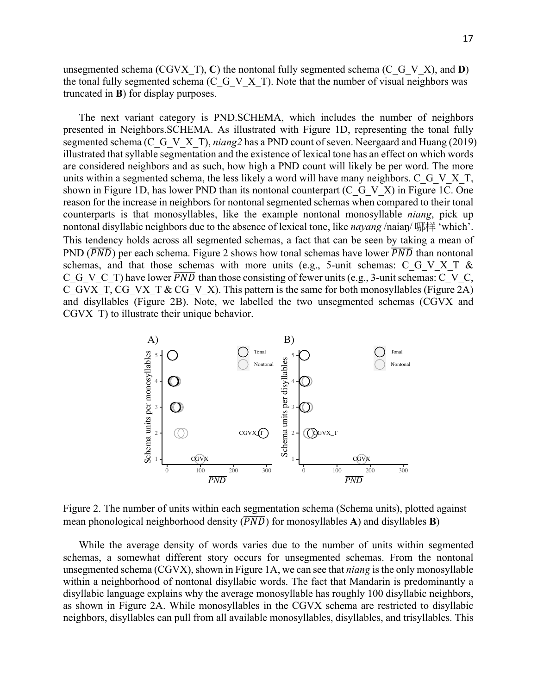unsegmented schema (CGVX T), C) the nontonal fully segmented schema (C\_G\_V\_X), and **D**) the tonal fully segmented schema (C\_G\_V\_X\_T). Note that the number of visual neighbors was truncated in **B**) for display purposes.

The next variant category is PND.SCHEMA, which includes the number of neighbors presented in Neighbors.SCHEMA. As illustrated with Figure 1D, representing the tonal fully segmented schema (C\_G\_V\_X\_T), *niang2* has a PND count of seven. Neergaard and Huang (2019) illustrated that syllable segmentation and the existence of lexical tone has an effect on which words are considered neighbors and as such, how high a PND count will likely be per word. The more units within a segmented schema, the less likely a word will have many neighbors. C\_G\_V\_X\_T, shown in Figure 1D, has lower PND than its nontonal counterpart  $(C \ G \ V \ X)$  in Figure 1C. One reason for the increase in neighbors for nontonal segmented schemas when compared to their tonal counterparts is that monosyllables, like the example nontonal monosyllable *niang*, pick up nontonal disyllabic neighbors due to the absence of lexical tone, like *nayang* /naiaŋ/ 哪样 'which'. This tendency holds across all segmented schemas, a fact that can be seen by taking a mean of PND  $(\overline{PND})$  per each schema. Figure 2 shows how tonal schemas have lower  $\overline{PND}$  than nontonal schemas, and that those schemas with more units (e.g., 5-unit schemas: C\_G\_V\_X\_T & C\_G\_V\_C\_T) have lower  $\overline{PND}$  than those consisting of fewer units (e.g., 3-unit schemas: C\_V\_C, C\_GVX\_T, CG\_VX\_T & CG\_V\_X). This pattern is the same for both monosyllables (Figure 2A) and disyllables (Figure 2B). Note, we labelled the two unsegmented schemas (CGVX and CGVX T) to illustrate their unique behavior.



Figure 2. The number of units within each segmentation schema (Schema units), plotted against mean phonological neighborhood density  $(\overline{PND})$  for monosyllables **A**) and disyllables **B**)

While the average density of words varies due to the number of units within segmented schemas, a somewhat different story occurs for unsegmented schemas. From the nontonal unsegmented schema (CGVX), shown in Figure 1A, we can see that *niang* is the only monosyllable within a neighborhood of nontonal disyllabic words. The fact that Mandarin is predominantly a disyllabic language explains why the average monosyllable has roughly 100 disyllabic neighbors, as shown in Figure 2A. While monosyllables in the CGVX schema are restricted to disyllabic neighbors, disyllables can pull from all available monosyllables, disyllables, and trisyllables. This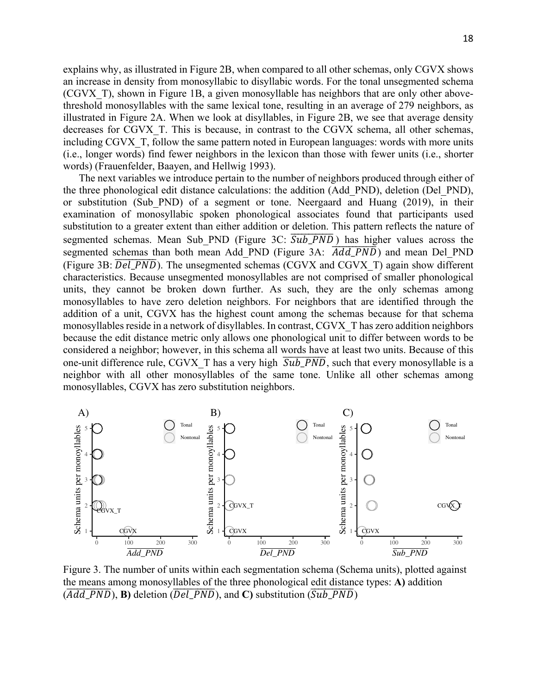explains why, as illustrated in Figure 2B, when compared to all other schemas, only CGVX shows an increase in density from monosyllabic to disyllabic words. For the tonal unsegmented schema (CGVX\_T), shown in Figure 1B, a given monosyllable has neighbors that are only other abovethreshold monosyllables with the same lexical tone, resulting in an average of 279 neighbors, as illustrated in Figure 2A. When we look at disyllables, in Figure 2B, we see that average density decreases for CGVX\_T. This is because, in contrast to the CGVX schema, all other schemas, including CGVX T, follow the same pattern noted in European languages: words with more units (i.e., longer words) find fewer neighbors in the lexicon than those with fewer units (i.e., shorter words) (Frauenfelder, Baayen, and Hellwig 1993).

The next variables we introduce pertain to the number of neighbors produced through either of the three phonological edit distance calculations: the addition (Add\_PND), deletion (Del\_PND), or substitution (Sub\_PND) of a segment or tone. Neergaard and Huang (2019), in their examination of monosyllabic spoken phonological associates found that participants used substitution to a greater extent than either addition or deletion. This pattern reflects the nature of segmented schemas. Mean Sub PND (Figure 3C:  $\overline{Sub\_PND}$ ) has higher values across the segmented schemas than both mean Add\_PND (Figure 3A:  $\overline{Add\_PND}$ ) and mean Del PND (Figure 3B:  $\overline{Del\_PND}$ ). The unsegmented schemas (CGVX and CGVX\_T) again show different characteristics. Because unsegmented monosyllables are not comprised of smaller phonological units, they cannot be broken down further. As such, they are the only schemas among monosyllables to have zero deletion neighbors. For neighbors that are identified through the addition of a unit, CGVX has the highest count among the schemas because for that schema monosyllables reside in a network of disyllables. In contrast, CGVX\_T has zero addition neighbors because the edit distance metric only allows one phonological unit to differ between words to be considered a neighbor; however, in this schema all words have at least two units. Because of this one-unit difference rule, CGVX\_T has a very high  $\overline{Sub\_PND}$ , such that every monosyllable is a neighbor with all other monosyllables of the same tone. Unlike all other schemas among monosyllables, CGVX has zero substitution neighbors.



Figure 3. The number of units within each segmentation schema (Schema units), plotted against the means among monosyllables of the three phonological edit distance types: **A)** addition  $(\overline{Add\_PND})$ , **B**) deletion ( $\overline{Del\_PND}$ ), and **C**) substitution ( $\overline{Sub\_PND}$ )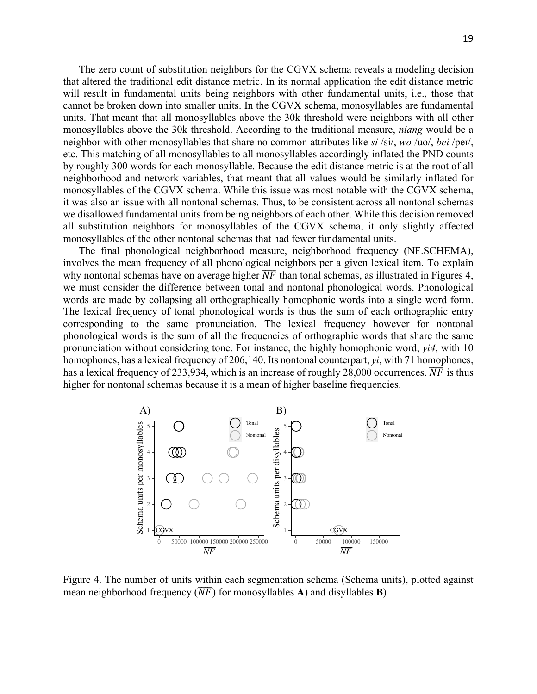The zero count of substitution neighbors for the CGVX schema reveals a modeling decision that altered the traditional edit distance metric. In its normal application the edit distance metric will result in fundamental units being neighbors with other fundamental units, i.e., those that cannot be broken down into smaller units. In the CGVX schema, monosyllables are fundamental units. That meant that all monosyllables above the 30k threshold were neighbors with all other monosyllables above the 30k threshold. According to the traditional measure, *niang* would be a neighbor with other monosyllables that share no common attributes like *si* /sɨ/, *wo* /uo/, *bei* /peɪ/, etc. This matching of all monosyllables to all monosyllables accordingly inflated the PND counts by roughly 300 words for each monosyllable. Because the edit distance metric is at the root of all neighborhood and network variables, that meant that all values would be similarly inflated for monosyllables of the CGVX schema. While this issue was most notable with the CGVX schema, it was also an issue with all nontonal schemas. Thus, to be consistent across all nontonal schemas we disallowed fundamental units from being neighbors of each other. While this decision removed all substitution neighbors for monosyllables of the CGVX schema, it only slightly affected monosyllables of the other nontonal schemas that had fewer fundamental units.

The final phonological neighborhood measure, neighborhood frequency (NF.SCHEMA), involves the mean frequency of all phonological neighbors per a given lexical item. To explain why nontonal schemas have on average higher  $\overline{NF}$  than tonal schemas, as illustrated in Figures 4, we must consider the difference between tonal and nontonal phonological words. Phonological words are made by collapsing all orthographically homophonic words into a single word form. The lexical frequency of tonal phonological words is thus the sum of each orthographic entry corresponding to the same pronunciation. The lexical frequency however for nontonal phonological words is the sum of all the frequencies of orthographic words that share the same pronunciation without considering tone. For instance, the highly homophonic word, *yi4*, with 10 homophones, has a lexical frequency of 206,140. Its nontonal counterpart, *yi*, with 71 homophones, has a lexical frequency of 233,934, which is an increase of roughly 28,000 occurrences.  $\overline{NF}$  is thus higher for nontonal schemas because it is a mean of higher baseline frequencies.



Figure 4. The number of units within each segmentation schema (Schema units), plotted against mean neighborhood frequency  $(\overline{NF})$  for monosyllables **A**) and disyllables **B**)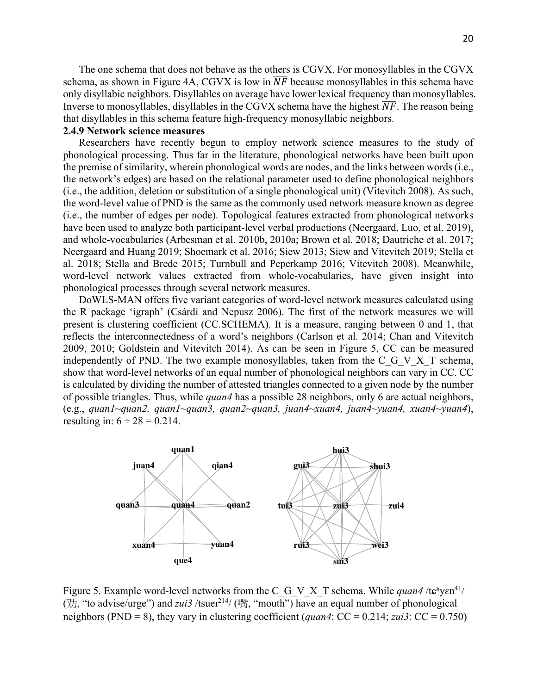The one schema that does not behave as the others is CGVX. For monosyllables in the CGVX schema, as shown in Figure 4A, CGVX is low in  $\overline{NF}$  because monosyllables in this schema have only disyllabic neighbors. Disyllables on average have lower lexical frequency than monosyllables. Inverse to monosyllables, disyllables in the CGVX schema have the highest  $\overline{NF}$ . The reason being that disyllables in this schema feature high-frequency monosyllabic neighbors.

## **2.4.9 Network science measures**

Researchers have recently begun to employ network science measures to the study of phonological processing. Thus far in the literature, phonological networks have been built upon the premise of similarity, wherein phonological words are nodes, and the links between words (i.e., the network's edges) are based on the relational parameter used to define phonological neighbors (i.e., the addition, deletion or substitution of a single phonological unit) (Vitevitch 2008). As such, the word-level value of PND is the same as the commonly used network measure known as degree (i.e., the number of edges per node). Topological features extracted from phonological networks have been used to analyze both participant-level verbal productions (Neergaard, Luo, et al. 2019), and whole-vocabularies (Arbesman et al. 2010b, 2010a; Brown et al. 2018; Dautriche et al. 2017; Neergaard and Huang 2019; Shoemark et al. 2016; Siew 2013; Siew and Vitevitch 2019; Stella et al. 2018; Stella and Brede 2015; Turnbull and Peperkamp 2016; Vitevitch 2008). Meanwhile, word-level network values extracted from whole-vocabularies, have given insight into phonological processes through several network measures.

DoWLS-MAN offers five variant categories of word-level network measures calculated using the R package 'igraph' (Csárdi and Nepusz 2006). The first of the network measures we will present is clustering coefficient (CC.SCHEMA). It is a measure, ranging between 0 and 1, that reflects the interconnectedness of a word's neighbors (Carlson et al. 2014; Chan and Vitevitch 2009, 2010; Goldstein and Vitevitch 2014). As can be seen in Figure 5, CC can be measured independently of PND. The two example monosyllables, taken from the C G V X T schema, show that word-level networks of an equal number of phonological neighbors can vary in CC. CC is calculated by dividing the number of attested triangles connected to a given node by the number of possible triangles. Thus, while *quan4* has a possible 28 neighbors, only 6 are actual neighbors, (e.g., *quan1~quan2, quan1~quan3, quan2~quan3, juan4~xuan4, juan4~yuan4, xuan4~yuan4*), resulting in:  $6 \div 28 = 0.214$ .



Figure 5. Example word-level networks from the C\_G\_V\_X\_T schema. While *quan4* /t $\epsilon^h$ y $\epsilon^{n41}$ / ( $\forall$  $\uparrow$ ), "to advise/urge") and *zui3* /tsuen<sup>214</sup>/ (嘴, "mouth") have an equal number of phonological neighbors (PND = 8), they vary in clustering coefficient (*quan4*:  $CC = 0.214$ ; *zui3*:  $CC = 0.750$ )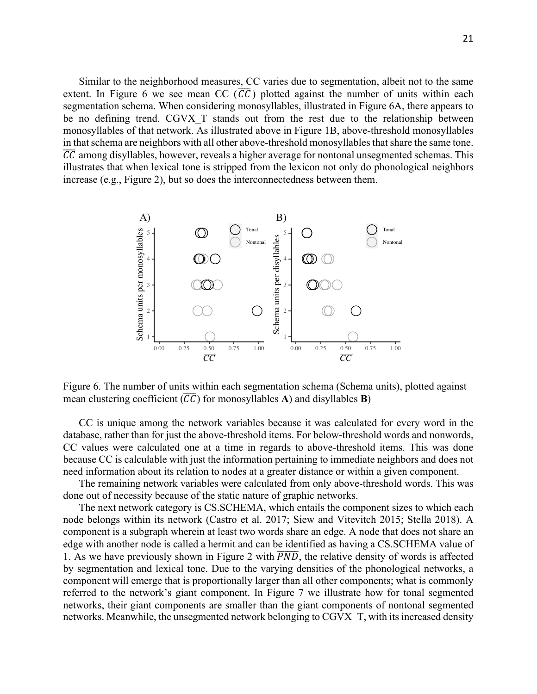Similar to the neighborhood measures, CC varies due to segmentation, albeit not to the same extent. In Figure 6 we see mean CC  $(\overline{CC})$  plotted against the number of units within each segmentation schema. When considering monosyllables, illustrated in Figure 6A, there appears to be no defining trend. CGVX\_T stands out from the rest due to the relationship between monosyllables of that network. As illustrated above in Figure 1B, above-threshold monosyllables in that schema are neighbors with all other above-threshold monosyllables that share the same tone. CC among disyllables, however, reveals a higher average for nontonal unsegmented schemas. This illustrates that when lexical tone is stripped from the lexicon not only do phonological neighbors increase (e.g., Figure 2), but so does the interconnectedness between them.



Figure 6. The number of units within each segmentation schema (Schema units), plotted against mean clustering coefficient  $(\overline{CC})$  for monosyllables **A**) and disyllables **B**)

CC is unique among the network variables because it was calculated for every word in the database, rather than for just the above-threshold items. For below-threshold words and nonwords, CC values were calculated one at a time in regards to above-threshold items. This was done because CC is calculable with just the information pertaining to immediate neighbors and does not need information about its relation to nodes at a greater distance or within a given component.

The remaining network variables were calculated from only above-threshold words. This was done out of necessity because of the static nature of graphic networks.

The next network category is CS.SCHEMA, which entails the component sizes to which each node belongs within its network (Castro et al. 2017; Siew and Vitevitch 2015; Stella 2018). A component is a subgraph wherein at least two words share an edge. A node that does not share an edge with another node is called a hermit and can be identified as having a CS.SCHEMA value of 1. As we have previously shown in Figure 2 with  $\overline{PND}$ , the relative density of words is affected by segmentation and lexical tone. Due to the varying densities of the phonological networks, a component will emerge that is proportionally larger than all other components; what is commonly referred to the network's giant component. In Figure 7 we illustrate how for tonal segmented networks, their giant components are smaller than the giant components of nontonal segmented networks. Meanwhile, the unsegmented network belonging to CGVX\_T, with its increased density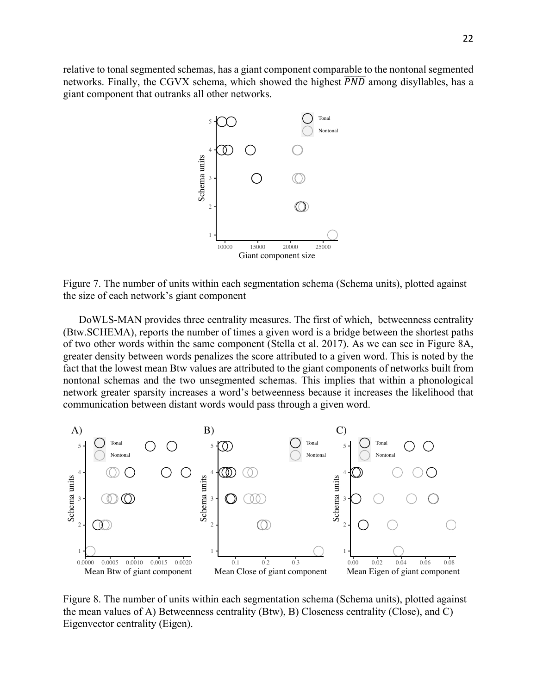relative to tonal segmented schemas, has a giant component comparable to the nontonal segmented networks. Finally, the CGVX schema, which showed the highest  $\overline{PND}$  among disyllables, has a giant component that outranks all other networks.



Figure 7. The number of units within each segmentation schema (Schema units), plotted against the size of each network's giant component

DoWLS-MAN provides three centrality measures. The first of which, betweenness centrality (Btw.SCHEMA), reports the number of times a given word is a bridge between the shortest paths of two other words within the same component (Stella et al. 2017). As we can see in Figure 8A, greater density between words penalizes the score attributed to a given word. This is noted by the fact that the lowest mean Btw values are attributed to the giant components of networks built from nontonal schemas and the two unsegmented schemas. This implies that within a phonological network greater sparsity increases a word's betweenness because it increases the likelihood that communication between distant words would pass through a given word.



Figure 8. The number of units within each segmentation schema (Schema units), plotted against the mean values of A) Betweenness centrality (Btw), B) Closeness centrality (Close), and C) Eigenvector centrality (Eigen).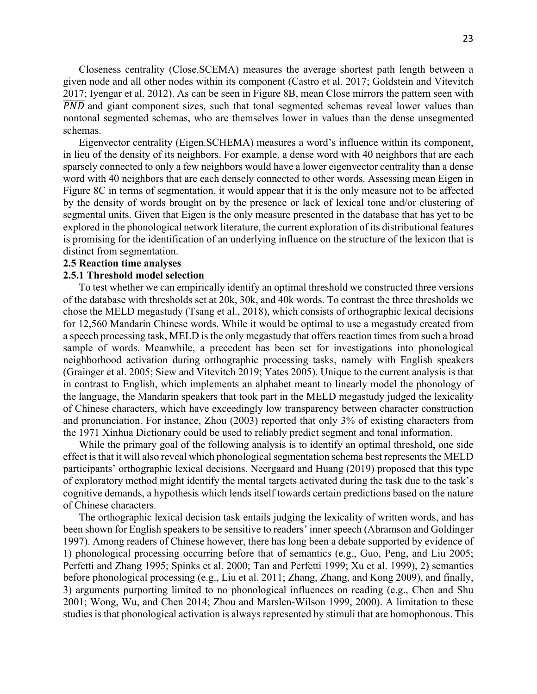Closeness centrality (Close.SCEMA) measures the average shortest path length between a given node and all other nodes within its component (Castro et al. 2017; Goldstein and Vitevitch 2017; Iyengar et al. 2012). As can be seen in Figure 8B, mean Close mirrors the pattern seen with  $\overline{PND}$  and giant component sizes, such that tonal segmented schemas reveal lower values than nontonal segmented schemas, who are themselves lower in values than the dense unsegmented schemas.

Eigenvector centrality (Eigen.SCHEMA) measures a word's influence within its component, in lieu of the density of its neighbors. For example, a dense word with 40 neighbors that are each sparsely connected to only a few neighbors would have a lower eigenvector centrality than a dense word with 40 neighbors that are each densely connected to other words. Assessing mean Eigen in Figure 8C in terms of segmentation, it would appear that it is the only measure not to be affected by the density of words brought on by the presence or lack of lexical tone and/or clustering of segmental units. Given that Eigen is the only measure presented in the database that has yet to be explored in the phonological network literature, the current exploration of its distributional features is promising for the identification of an underlying influence on the structure of the lexicon that is distinct from segmentation.

## **2.5 Reaction time analyses**

### **2.5.1 Threshold model selection**

To test whether we can empirically identify an optimal threshold we constructed three versions of the database with thresholds set at 20k, 30k, and 40k words. To contrast the three thresholds we chose the MELD megastudy (Tsang et al., 2018), which consists of orthographic lexical decisions for 12,560 Mandarin Chinese words. While it would be optimal to use a megastudy created from a speech processing task, MELD is the only megastudy that offers reaction times from such a broad sample of words. Meanwhile, a precedent has been set for investigations into phonological neighborhood activation during orthographic processing tasks, namely with English speakers (Grainger et al. 2005; Siew and Vitevitch 2019; Yates 2005). Unique to the current analysis is that in contrast to English, which implements an alphabet meant to linearly model the phonology of the language, the Mandarin speakers that took part in the MELD megastudy judged the lexicality of Chinese characters, which have exceedingly low transparency between character construction and pronunciation. For instance, Zhou (2003) reported that only 3% of existing characters from the 1971 Xinhua Dictionary could be used to reliably predict segment and tonal information.

While the primary goal of the following analysis is to identify an optimal threshold, one side effect is that it will also reveal which phonological segmentation schema best represents the MELD participants' orthographic lexical decisions. Neergaard and Huang (2019) proposed that this type of exploratory method might identify the mental targets activated during the task due to the task's cognitive demands, a hypothesis which lends itself towards certain predictions based on the nature of Chinese characters.

The orthographic lexical decision task entails judging the lexicality of written words, and has been shown for English speakers to be sensitive to readers' inner speech (Abramson and Goldinger 1997). Among readers of Chinese however, there has long been a debate supported by evidence of 1) phonological processing occurring before that of semantics (e.g., Guo, Peng, and Liu 2005; Perfetti and Zhang 1995; Spinks et al. 2000; Tan and Perfetti 1999; Xu et al. 1999), 2) semantics before phonological processing (e.g., Liu et al. 2011; Zhang, Zhang, and Kong 2009), and finally, 3) arguments purporting limited to no phonological influences on reading (e.g., Chen and Shu 2001; Wong, Wu, and Chen 2014; Zhou and Marslen-Wilson 1999, 2000). A limitation to these studies is that phonological activation is always represented by stimuli that are homophonous. This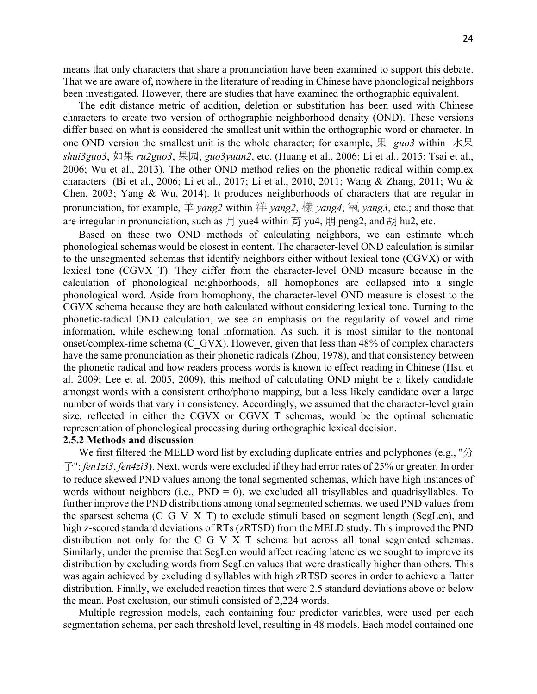means that only characters that share a pronunciation have been examined to support this debate. That we are aware of, nowhere in the literature of reading in Chinese have phonological neighbors been investigated. However, there are studies that have examined the orthographic equivalent.

The edit distance metric of addition, deletion or substitution has been used with Chinese characters to create two version of orthographic neighborhood density (OND). These versions differ based on what is considered the smallest unit within the orthographic word or character. In one OND version the smallest unit is the whole character; for example, 果 *guo3* within 水果 *shui3guo3*, 如果 *ru2guo3*, 果园, *guo3yuan2*, etc. (Huang et al., 2006; Li et al., 2015; Tsai et al., 2006; Wu et al., 2013). The other OND method relies on the phonetic radical within complex characters (Bi et al., 2006; Li et al., 2017; Li et al., 2010, 2011; Wang & Zhang, 2011; Wu & Chen, 2003; Yang & Wu, 2014). It produces neighborhoods of characters that are regular in pronunciation, for example,  $\#$  *yang2* within  $\#$  *yang2*,  $\#$  *yang4*,  $\overline{\#}$  *yang3*, etc.; and those that are irregular in pronunciation, such as 月 yue4 within  $\hat{g}$  yu4, 朋 peng2, and 胡 hu2, etc.

Based on these two OND methods of calculating neighbors, we can estimate which phonological schemas would be closest in content. The character-level OND calculation is similar to the unsegmented schemas that identify neighbors either without lexical tone (CGVX) or with lexical tone (CGVX\_T). They differ from the character-level OND measure because in the calculation of phonological neighborhoods, all homophones are collapsed into a single phonological word. Aside from homophony, the character-level OND measure is closest to the CGVX schema because they are both calculated without considering lexical tone. Turning to the phonetic-radical OND calculation, we see an emphasis on the regularity of vowel and rime information, while eschewing tonal information. As such, it is most similar to the nontonal onset/complex-rime schema (C\_GVX). However, given that less than 48% of complex characters have the same pronunciation as their phonetic radicals (Zhou, 1978), and that consistency between the phonetic radical and how readers process words is known to effect reading in Chinese (Hsu et al. 2009; Lee et al. 2005, 2009), this method of calculating OND might be a likely candidate amongst words with a consistent ortho/phono mapping, but a less likely candidate over a large number of words that vary in consistency. Accordingly, we assumed that the character-level grain size, reflected in either the CGVX or CGVX\_T schemas, would be the optimal schematic representation of phonological processing during orthographic lexical decision.

## **2.5.2 Methods and discussion**

We first filtered the MELD word list by excluding duplicate entries and polyphones (e.g., " $\hat{\pi}$ ) 子": *fen1zi3*, *fen4zi3*). Next, words were excluded if they had error rates of 25% or greater. In order to reduce skewed PND values among the tonal segmented schemas, which have high instances of words without neighbors (i.e.,  $PND = 0$ ), we excluded all trisyllables and quadrisyllables. To further improve the PND distributions among tonal segmented schemas, we used PND values from the sparsest schema (C\_G\_V\_X\_T) to exclude stimuli based on segment length (SegLen), and high z-scored standard deviations of RTs (zRTSD) from the MELD study. This improved the PND distribution not only for the C<sub>G</sub>V<sub>X</sub><sup>T</sup> schema but across all tonal segmented schemas. Similarly, under the premise that SegLen would affect reading latencies we sought to improve its distribution by excluding words from SegLen values that were drastically higher than others. This was again achieved by excluding disyllables with high zRTSD scores in order to achieve a flatter distribution. Finally, we excluded reaction times that were 2.5 standard deviations above or below the mean. Post exclusion, our stimuli consisted of 2,224 words.

Multiple regression models, each containing four predictor variables, were used per each segmentation schema, per each threshold level, resulting in 48 models. Each model contained one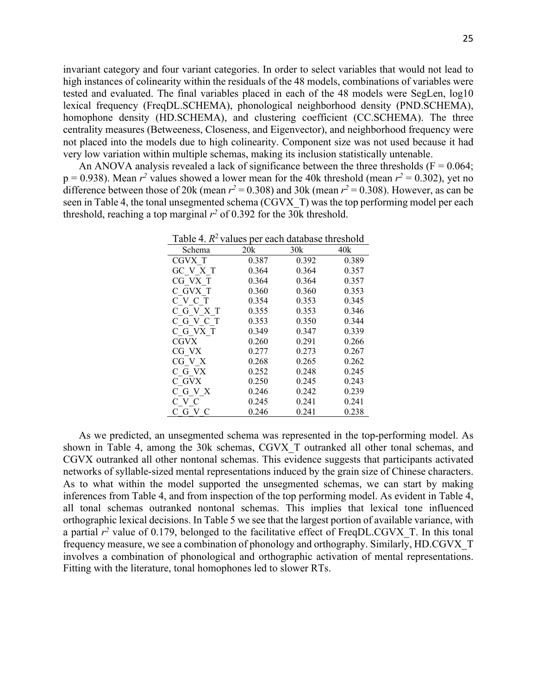invariant category and four variant categories. In order to select variables that would not lead to high instances of colinearity within the residuals of the 48 models, combinations of variables were tested and evaluated. The final variables placed in each of the 48 models were SegLen, log10 lexical frequency (FreqDL.SCHEMA), phonological neighborhood density (PND.SCHEMA), homophone density (HD.SCHEMA), and clustering coefficient (CC.SCHEMA). The three centrality measures (Betweeness, Closeness, and Eigenvector), and neighborhood frequency were not placed into the models due to high colinearity. Component size was not used because it had very low variation within multiple schemas, making its inclusion statistically untenable.

An ANOVA analysis revealed a lack of significance between the three thresholds ( $F = 0.064$ ;  $p = 0.938$ ). Mean  $r^2$  values showed a lower mean for the 40k threshold (mean  $r^2 = 0.302$ ), yet no difference between those of 20k (mean  $r^2 = 0.308$ ) and 30k (mean  $r^2 = 0.308$ ). However, as can be seen in Table 4, the tonal unsegmented schema (CGVX\_T) was the top performing model per each threshold, reaching a top marginal  $r^2$  of 0.392 for the 30k threshold.

| Table 4. $R^2$ values per each database threshold |       |       |       |  |  |  |
|---------------------------------------------------|-------|-------|-------|--|--|--|
| Schema                                            | 20k   | 30k   | 40k   |  |  |  |
| CGVX T                                            | 0.387 | 0.392 | 0.389 |  |  |  |
| GC V X T                                          | 0.364 | 0.364 | 0.357 |  |  |  |
| CG VX T                                           | 0.364 | 0.364 | 0.357 |  |  |  |
| C GVX T                                           | 0.360 | 0.360 | 0.353 |  |  |  |
| C V C T                                           | 0.354 | 0.353 | 0.345 |  |  |  |
| C G V X T                                         | 0.355 | 0.353 | 0.346 |  |  |  |
| C G V C T                                         | 0.353 | 0.350 | 0.344 |  |  |  |
| C G VX T                                          | 0.349 | 0.347 | 0.339 |  |  |  |
| <b>CGVX</b>                                       | 0.260 | 0.291 | 0.266 |  |  |  |
| CG VX                                             | 0.277 | 0.273 | 0.267 |  |  |  |
| CG V X                                            | 0.268 | 0.265 | 0.262 |  |  |  |
| C G VX                                            | 0.252 | 0.248 | 0.245 |  |  |  |
| C GVX                                             | 0.250 | 0.245 | 0.243 |  |  |  |
| C G V X                                           | 0.246 | 0.242 | 0.239 |  |  |  |
| C V C                                             | 0.245 | 0.241 | 0.241 |  |  |  |
| СGVC                                              | 0.246 | 0.241 | 0.238 |  |  |  |

As we predicted, an unsegmented schema was represented in the top-performing model. As shown in Table 4, among the 30k schemas, CGVX\_T outranked all other tonal schemas, and CGVX outranked all other nontonal schemas. This evidence suggests that participants activated networks of syllable-sized mental representations induced by the grain size of Chinese characters. As to what within the model supported the unsegmented schemas, we can start by making inferences from Table 4, and from inspection of the top performing model. As evident in Table 4, all tonal schemas outranked nontonal schemas. This implies that lexical tone influenced orthographic lexical decisions. In Table 5 we see that the largest portion of available variance, with a partial  $r^2$  value of 0.179, belonged to the facilitative effect of FreqDL.CGVX T. In this tonal frequency measure, we see a combination of phonology and orthography. Similarly, HD.CGVX\_T involves a combination of phonological and orthographic activation of mental representations. Fitting with the literature, tonal homophones led to slower RTs.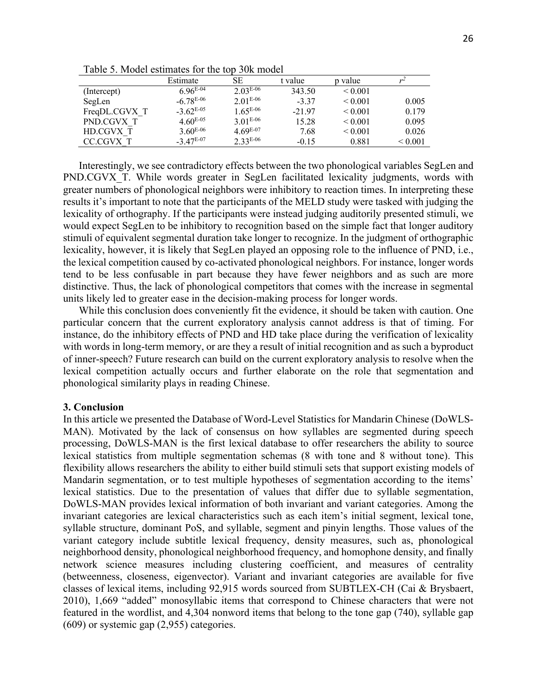|               | Estimate       | SE            | t value  | p value      |              |
|---------------|----------------|---------------|----------|--------------|--------------|
| (Intercept)   | $6.96^{E-04}$  | $2.03E-06$    | 343.50   | ${}_{0.001}$ |              |
| SegLen        | $-6.78E-06$    | $2.01E-06$    | $-3.37$  | ${}_{0.001}$ | 0.005        |
| FreqDL.CGVX T | $-3.62^{E-05}$ | $1.65^{E-06}$ | $-21.97$ | ${}_{0.001}$ | 0.179        |
| PND.CGVX T    | $4.60^{E-0.5}$ | $3.01^{E-06}$ | 15.28    | ${}_{0.001}$ | 0.095        |
| HD.CGVX T     | $3.60^{E-06}$  | $4.69^{E-07}$ | 7.68     | ${}_{0.001}$ | 0.026        |
| CC.CGVX T     | $-3.47E-07$    | $2.33^{E-06}$ | $-0.15$  | 0.881        | ${}_{0.001}$ |

Table 5. Model estimates for the top 30k model

Interestingly, we see contradictory effects between the two phonological variables SegLen and PND.CGVX T. While words greater in SegLen facilitated lexicality judgments, words with greater numbers of phonological neighbors were inhibitory to reaction times. In interpreting these results it's important to note that the participants of the MELD study were tasked with judging the lexicality of orthography. If the participants were instead judging auditorily presented stimuli, we would expect SegLen to be inhibitory to recognition based on the simple fact that longer auditory stimuli of equivalent segmental duration take longer to recognize. In the judgment of orthographic lexicality, however, it is likely that SegLen played an opposing role to the influence of PND, i.e., the lexical competition caused by co-activated phonological neighbors. For instance, longer words tend to be less confusable in part because they have fewer neighbors and as such are more distinctive. Thus, the lack of phonological competitors that comes with the increase in segmental units likely led to greater ease in the decision-making process for longer words.

While this conclusion does conveniently fit the evidence, it should be taken with caution. One particular concern that the current exploratory analysis cannot address is that of timing. For instance, do the inhibitory effects of PND and HD take place during the verification of lexicality with words in long-term memory, or are they a result of initial recognition and as such a byproduct of inner-speech? Future research can build on the current exploratory analysis to resolve when the lexical competition actually occurs and further elaborate on the role that segmentation and phonological similarity plays in reading Chinese.

## **3. Conclusion**

In this article we presented the Database of Word-Level Statistics for Mandarin Chinese (DoWLS-MAN). Motivated by the lack of consensus on how syllables are segmented during speech processing, DoWLS-MAN is the first lexical database to offer researchers the ability to source lexical statistics from multiple segmentation schemas (8 with tone and 8 without tone). This flexibility allows researchers the ability to either build stimuli sets that support existing models of Mandarin segmentation, or to test multiple hypotheses of segmentation according to the items' lexical statistics. Due to the presentation of values that differ due to syllable segmentation, DoWLS-MAN provides lexical information of both invariant and variant categories. Among the invariant categories are lexical characteristics such as each item's initial segment, lexical tone, syllable structure, dominant PoS, and syllable, segment and pinyin lengths. Those values of the variant category include subtitle lexical frequency, density measures, such as, phonological neighborhood density, phonological neighborhood frequency, and homophone density, and finally network science measures including clustering coefficient, and measures of centrality (betweenness, closeness, eigenvector). Variant and invariant categories are available for five classes of lexical items, including 92,915 words sourced from SUBTLEX-CH (Cai & Brysbaert, 2010), 1,669 "added" monosyllabic items that correspond to Chinese characters that were not featured in the wordlist, and 4,304 nonword items that belong to the tone gap (740), syllable gap (609) or systemic gap (2,955) categories.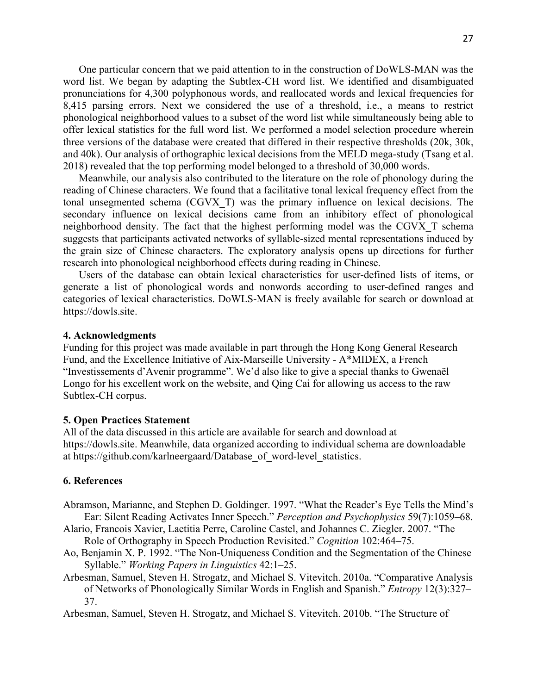One particular concern that we paid attention to in the construction of DoWLS-MAN was the word list. We began by adapting the Subtlex-CH word list. We identified and disambiguated pronunciations for 4,300 polyphonous words, and reallocated words and lexical frequencies for 8,415 parsing errors. Next we considered the use of a threshold, i.e., a means to restrict phonological neighborhood values to a subset of the word list while simultaneously being able to offer lexical statistics for the full word list. We performed a model selection procedure wherein three versions of the database were created that differed in their respective thresholds (20k, 30k, and 40k). Our analysis of orthographic lexical decisions from the MELD mega-study (Tsang et al. 2018) revealed that the top performing model belonged to a threshold of 30,000 words.

Meanwhile, our analysis also contributed to the literature on the role of phonology during the reading of Chinese characters. We found that a facilitative tonal lexical frequency effect from the tonal unsegmented schema (CGVX\_T) was the primary influence on lexical decisions. The secondary influence on lexical decisions came from an inhibitory effect of phonological neighborhood density. The fact that the highest performing model was the CGVX\_T schema suggests that participants activated networks of syllable-sized mental representations induced by the grain size of Chinese characters. The exploratory analysis opens up directions for further research into phonological neighborhood effects during reading in Chinese.

Users of the database can obtain lexical characteristics for user-defined lists of items, or generate a list of phonological words and nonwords according to user-defined ranges and categories of lexical characteristics. DoWLS-MAN is freely available for search or download at https://dowls.site.

#### **4. Acknowledgments**

Funding for this project was made available in part through the Hong Kong General Research Fund, and the Excellence Initiative of Aix-Marseille University - A\*MIDEX, a French "Investissements d'Avenir programme". We'd also like to give a special thanks to Gwenaël Longo for his excellent work on the website, and Qing Cai for allowing us access to the raw Subtlex-CH corpus.

### **5. Open Practices Statement**

All of the data discussed in this article are available for search and download at https://dowls.site. Meanwhile, data organized according to individual schema are downloadable at https://github.com/karlneergaard/Database\_of\_word-level\_statistics.

## **6. References**

- Abramson, Marianne, and Stephen D. Goldinger. 1997. "What the Reader's Eye Tells the Mind's Ear: Silent Reading Activates Inner Speech." *Perception and Psychophysics* 59(7):1059–68.
- Alario, Francois Xavier, Laetitia Perre, Caroline Castel, and Johannes C. Ziegler. 2007. "The Role of Orthography in Speech Production Revisited." *Cognition* 102:464–75.
- Ao, Benjamin X. P. 1992. "The Non-Uniqueness Condition and the Segmentation of the Chinese Syllable." *Working Papers in Linguistics* 42:1–25.
- Arbesman, Samuel, Steven H. Strogatz, and Michael S. Vitevitch. 2010a. "Comparative Analysis of Networks of Phonologically Similar Words in English and Spanish." *Entropy* 12(3):327– 37.
- Arbesman, Samuel, Steven H. Strogatz, and Michael S. Vitevitch. 2010b. "The Structure of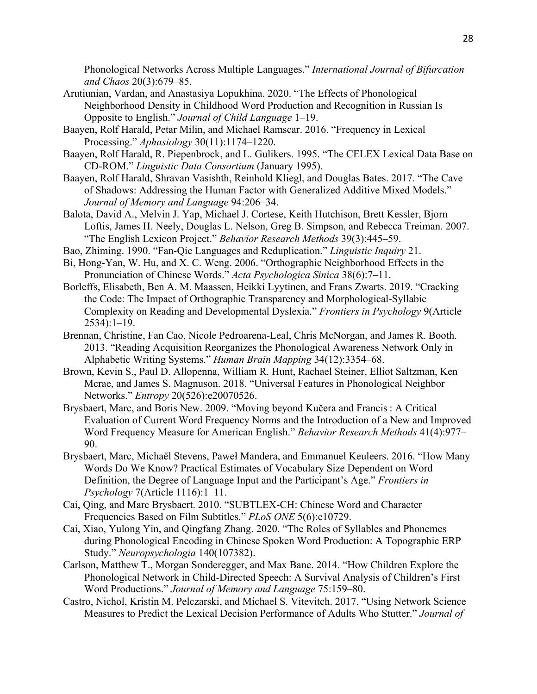Phonological Networks Across Multiple Languages." *International Journal of Bifurcation and Chaos* 20(3):679–85.

- Arutiunian, Vardan, and Anastasiya Lopukhina. 2020. "The Effects of Phonological Neighborhood Density in Childhood Word Production and Recognition in Russian Is Opposite to English." *Journal of Child Language* 1–19.
- Baayen, Rolf Harald, Petar Milin, and Michael Ramscar. 2016. "Frequency in Lexical Processing." *Aphasiology* 30(11):1174–1220.
- Baayen, Rolf Harald, R. Piepenbrock, and L. Gulikers. 1995. "The CELEX Lexical Data Base on CD-ROM." *Linguistic Data Consortium* (January 1995).
- Baayen, Rolf Harald, Shravan Vasishth, Reinhold Kliegl, and Douglas Bates. 2017. "The Cave of Shadows: Addressing the Human Factor with Generalized Additive Mixed Models." *Journal of Memory and Language* 94:206–34.
- Balota, David A., Melvin J. Yap, Michael J. Cortese, Keith Hutchison, Brett Kessler, Bjorn Loftis, James H. Neely, Douglas L. Nelson, Greg B. Simpson, and Rebecca Treiman. 2007. "The English Lexicon Project." *Behavior Research Methods* 39(3):445–59.
- Bao, Zhiming. 1990. "Fan-Qie Languages and Reduplication." *Linguistic Inquiry* 21.
- Bi, Hong-Yan, W. Hu, and X. C. Weng. 2006. "Orthographic Neighborhood Effects in the Pronunciation of Chinese Words." *Acta Psychologica Sinica* 38(6):7–11.
- Borleffs, Elisabeth, Ben A. M. Maassen, Heikki Lyytinen, and Frans Zwarts. 2019. "Cracking the Code: The Impact of Orthographic Transparency and Morphological-Syllabic Complexity on Reading and Developmental Dyslexia." *Frontiers in Psychology* 9(Article 2534):1–19.
- Brennan, Christine, Fan Cao, Nicole Pedroarena-Leal, Chris McNorgan, and James R. Booth. 2013. "Reading Acquisition Reorganizes the Phonological Awareness Network Only in Alphabetic Writing Systems." *Human Brain Mapping* 34(12):3354–68.
- Brown, Kevin S., Paul D. Allopenna, William R. Hunt, Rachael Steiner, Elliot Saltzman, Ken Mcrae, and James S. Magnuson. 2018. "Universal Features in Phonological Neighbor Networks." *Entropy* 20(526):e20070526.
- Brysbaert, Marc, and Boris New. 2009. "Moving beyond Kučera and Francis : A Critical Evaluation of Current Word Frequency Norms and the Introduction of a New and Improved Word Frequency Measure for American English." *Behavior Research Methods* 41(4):977– 90.
- Brysbaert, Marc, Michaël Stevens, Paweł Mandera, and Emmanuel Keuleers. 2016. "How Many Words Do We Know? Practical Estimates of Vocabulary Size Dependent on Word Definition, the Degree of Language Input and the Participant's Age." *Frontiers in Psychology* 7(Article 1116):1–11.
- Cai, Qing, and Marc Brysbaert. 2010. "SUBTLEX-CH: Chinese Word and Character Frequencies Based on Film Subtitles." *PLoS ONE* 5(6):e10729.
- Cai, Xiao, Yulong Yin, and Qingfang Zhang. 2020. "The Roles of Syllables and Phonemes during Phonological Encoding in Chinese Spoken Word Production: A Topographic ERP Study." *Neuropsychologia* 140(107382).
- Carlson, Matthew T., Morgan Sonderegger, and Max Bane. 2014. "How Children Explore the Phonological Network in Child-Directed Speech: A Survival Analysis of Children's First Word Productions." *Journal of Memory and Language* 75:159–80.
- Castro, Nichol, Kristin M. Pelczarski, and Michael S. Vitevitch. 2017. "Using Network Science Measures to Predict the Lexical Decision Performance of Adults Who Stutter." *Journal of*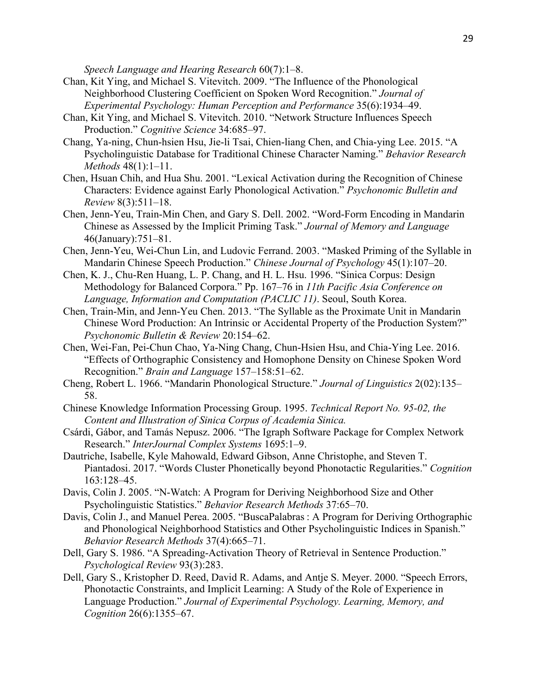*Speech Language and Hearing Research* 60(7):1–8.

- Chan, Kit Ying, and Michael S. Vitevitch. 2009. "The Influence of the Phonological Neighborhood Clustering Coefficient on Spoken Word Recognition." *Journal of Experimental Psychology: Human Perception and Performance* 35(6):1934–49.
- Chan, Kit Ying, and Michael S. Vitevitch. 2010. "Network Structure Influences Speech Production." *Cognitive Science* 34:685–97.
- Chang, Ya-ning, Chun-hsien Hsu, Jie-li Tsai, Chien-liang Chen, and Chia-ying Lee. 2015. "A Psycholinguistic Database for Traditional Chinese Character Naming." *Behavior Research Methods* 48(1):1–11.
- Chen, Hsuan Chih, and Hua Shu. 2001. "Lexical Activation during the Recognition of Chinese Characters: Evidence against Early Phonological Activation." *Psychonomic Bulletin and Review* 8(3):511–18.
- Chen, Jenn-Yeu, Train-Min Chen, and Gary S. Dell. 2002. "Word-Form Encoding in Mandarin Chinese as Assessed by the Implicit Priming Task." *Journal of Memory and Language* 46(January):751–81.
- Chen, Jenn-Yeu, Wei-Chun Lin, and Ludovic Ferrand. 2003. "Masked Priming of the Syllable in Mandarin Chinese Speech Production." *Chinese Journal of Psychology* 45(1):107–20.
- Chen, K. J., Chu-Ren Huang, L. P. Chang, and H. L. Hsu. 1996. "Sinica Corpus: Design Methodology for Balanced Corpora." Pp. 167–76 in *11th Pacific Asia Conference on Language, Information and Computation (PACLIC 11)*. Seoul, South Korea.
- Chen, Train-Min, and Jenn-Yeu Chen. 2013. "The Syllable as the Proximate Unit in Mandarin Chinese Word Production: An Intrinsic or Accidental Property of the Production System?" *Psychonomic Bulletin & Review* 20:154–62.
- Chen, Wei-Fan, Pei-Chun Chao, Ya-Ning Chang, Chun-Hsien Hsu, and Chia-Ying Lee. 2016. "Effects of Orthographic Consistency and Homophone Density on Chinese Spoken Word Recognition." *Brain and Language* 157–158:51–62.
- Cheng, Robert L. 1966. "Mandarin Phonological Structure." *Journal of Linguistics* 2(02):135– 58.
- Chinese Knowledge Information Processing Group. 1995. *Technical Report No. 95-02, the Content and Illustration of Sinica Corpus of Academia Sinica.*
- Csárdi, Gábor, and Tamás Nepusz. 2006. "The Igraph Software Package for Complex Network Research." *InterJournal Complex Systems* 1695:1–9.
- Dautriche, Isabelle, Kyle Mahowald, Edward Gibson, Anne Christophe, and Steven T. Piantadosi. 2017. "Words Cluster Phonetically beyond Phonotactic Regularities." *Cognition* 163:128–45.
- Davis, Colin J. 2005. "N-Watch: A Program for Deriving Neighborhood Size and Other Psycholinguistic Statistics." *Behavior Research Methods* 37:65–70.
- Davis, Colin J., and Manuel Perea. 2005. "BuscaPalabras : A Program for Deriving Orthographic and Phonological Neighborhood Statistics and Other Psycholinguistic Indices in Spanish." *Behavior Research Methods* 37(4):665–71.
- Dell, Gary S. 1986. "A Spreading-Activation Theory of Retrieval in Sentence Production." *Psychological Review* 93(3):283.
- Dell, Gary S., Kristopher D. Reed, David R. Adams, and Antje S. Meyer. 2000. "Speech Errors, Phonotactic Constraints, and Implicit Learning: A Study of the Role of Experience in Language Production." *Journal of Experimental Psychology. Learning, Memory, and Cognition* 26(6):1355–67.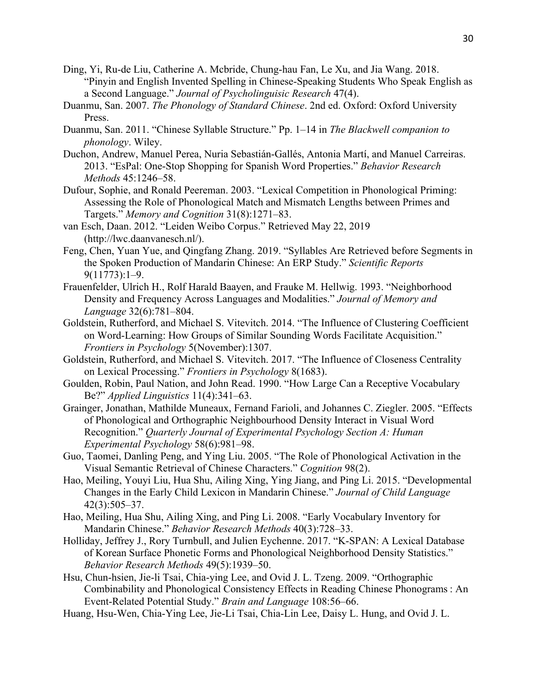- Ding, Yi, Ru-de Liu, Catherine A. Mcbride, Chung-hau Fan, Le Xu, and Jia Wang. 2018. "Pinyin and English Invented Spelling in Chinese-Speaking Students Who Speak English as a Second Language." *Journal of Psycholinguisic Research* 47(4).
- Duanmu, San. 2007. *The Phonology of Standard Chinese*. 2nd ed. Oxford: Oxford University Press.
- Duanmu, San. 2011. "Chinese Syllable Structure." Pp. 1–14 in *The Blackwell companion to phonology*. Wiley.
- Duchon, Andrew, Manuel Perea, Nuria Sebastián-Gallés, Antonia Martí, and Manuel Carreiras. 2013. "EsPal: One-Stop Shopping for Spanish Word Properties." *Behavior Research Methods* 45:1246–58.
- Dufour, Sophie, and Ronald Peereman. 2003. "Lexical Competition in Phonological Priming: Assessing the Role of Phonological Match and Mismatch Lengths between Primes and Targets." *Memory and Cognition* 31(8):1271–83.
- van Esch, Daan. 2012. "Leiden Weibo Corpus." Retrieved May 22, 2019 (http://lwc.daanvanesch.nl/).
- Feng, Chen, Yuan Yue, and Qingfang Zhang. 2019. "Syllables Are Retrieved before Segments in the Spoken Production of Mandarin Chinese: An ERP Study." *Scientific Reports* 9(11773):1–9.
- Frauenfelder, Ulrich H., Rolf Harald Baayen, and Frauke M. Hellwig. 1993. "Neighborhood Density and Frequency Across Languages and Modalities." *Journal of Memory and Language* 32(6):781–804.
- Goldstein, Rutherford, and Michael S. Vitevitch. 2014. "The Influence of Clustering Coefficient on Word-Learning: How Groups of Similar Sounding Words Facilitate Acquisition." *Frontiers in Psychology* 5(November):1307.
- Goldstein, Rutherford, and Michael S. Vitevitch. 2017. "The Influence of Closeness Centrality on Lexical Processing." *Frontiers in Psychology* 8(1683).
- Goulden, Robin, Paul Nation, and John Read. 1990. "How Large Can a Receptive Vocabulary Be?" *Applied Linguistics* 11(4):341–63.
- Grainger, Jonathan, Mathilde Muneaux, Fernand Farioli, and Johannes C. Ziegler. 2005. "Effects of Phonological and Orthographic Neighbourhood Density Interact in Visual Word Recognition." *Quarterly Journal of Experimental Psychology Section A: Human Experimental Psychology* 58(6):981–98.
- Guo, Taomei, Danling Peng, and Ying Liu. 2005. "The Role of Phonological Activation in the Visual Semantic Retrieval of Chinese Characters." *Cognition* 98(2).
- Hao, Meiling, Youyi Liu, Hua Shu, Ailing Xing, Ying Jiang, and Ping Li. 2015. "Developmental Changes in the Early Child Lexicon in Mandarin Chinese." *Journal of Child Language* 42(3):505–37.
- Hao, Meiling, Hua Shu, Ailing Xing, and Ping Li. 2008. "Early Vocabulary Inventory for Mandarin Chinese." *Behavior Research Methods* 40(3):728–33.
- Holliday, Jeffrey J., Rory Turnbull, and Julien Eychenne. 2017. "K-SPAN: A Lexical Database of Korean Surface Phonetic Forms and Phonological Neighborhood Density Statistics." *Behavior Research Methods* 49(5):1939–50.
- Hsu, Chun-hsien, Jie-li Tsai, Chia-ying Lee, and Ovid J. L. Tzeng. 2009. "Orthographic Combinability and Phonological Consistency Effects in Reading Chinese Phonograms : An Event-Related Potential Study." *Brain and Language* 108:56–66.
- Huang, Hsu-Wen, Chia-Ying Lee, Jie-Li Tsai, Chia-Lin Lee, Daisy L. Hung, and Ovid J. L.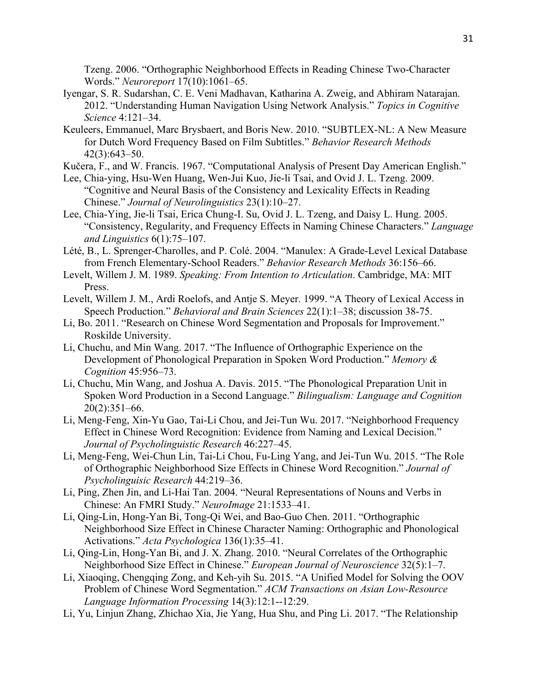Tzeng. 2006. "Orthographic Neighborhood Effects in Reading Chinese Two-Character Words." *Neuroreport* 17(10):1061–65.

- Iyengar, S. R. Sudarshan, C. E. Veni Madhavan, Katharina A. Zweig, and Abhiram Natarajan. 2012. "Understanding Human Navigation Using Network Analysis." *Topics in Cognitive Science* 4:121–34.
- Keuleers, Emmanuel, Marc Brysbaert, and Boris New. 2010. "SUBTLEX-NL: A New Measure for Dutch Word Frequency Based on Film Subtitles." *Behavior Research Methods* 42(3):643–50.
- Kučera, F., and W. Francis. 1967. "Computational Analysis of Present Day American English."
- Lee, Chia-ying, Hsu-Wen Huang, Wen-Jui Kuo, Jie-li Tsai, and Ovid J. L. Tzeng. 2009. "Cognitive and Neural Basis of the Consistency and Lexicality Effects in Reading Chinese." *Journal of Neurolinguistics* 23(1):10–27.
- Lee, Chia-Ying, Jie-li Tsai, Erica Chung-I. Su, Ovid J. L. Tzeng, and Daisy L. Hung. 2005. "Consistency, Regularity, and Frequency Effects in Naming Chinese Characters." *Language and Linguistics* 6(1):75–107.
- Lété, B., L. Sprenger-Charolles, and P. Colé. 2004. "Manulex: A Grade-Level Lexical Database from French Elementary-School Readers." *Behavior Research Methods* 36:156–66.
- Levelt, Willem J. M. 1989. *Speaking: From Intention to Articulation*. Cambridge, MA: MIT Press.
- Levelt, Willem J. M., Ardi Roelofs, and Antje S. Meyer. 1999. "A Theory of Lexical Access in Speech Production." *Behavioral and Brain Sciences* 22(1):1–38; discussion 38-75.
- Li, Bo. 2011. "Research on Chinese Word Segmentation and Proposals for Improvement." Roskilde University.
- Li, Chuchu, and Min Wang. 2017. "The Influence of Orthographic Experience on the Development of Phonological Preparation in Spoken Word Production." *Memory & Cognition* 45:956–73.
- Li, Chuchu, Min Wang, and Joshua A. Davis. 2015. "The Phonological Preparation Unit in Spoken Word Production in a Second Language." *Bilingualism: Language and Cognition* 20(2):351–66.
- Li, Meng-Feng, Xin-Yu Gao, Tai-Li Chou, and Jei-Tun Wu. 2017. "Neighborhood Frequency Effect in Chinese Word Recognition: Evidence from Naming and Lexical Decision." *Journal of Psycholinguistic Research* 46:227–45.
- Li, Meng-Feng, Wei-Chun Lin, Tai-Li Chou, Fu-Ling Yang, and Jei-Tun Wu. 2015. "The Role of Orthographic Neighborhood Size Effects in Chinese Word Recognition." *Journal of Psycholinguisic Research* 44:219–36.
- Li, Ping, Zhen Jin, and Li-Hai Tan. 2004. "Neural Representations of Nouns and Verbs in Chinese: An FMRI Study." *NeuroImage* 21:1533–41.
- Li, Qing-Lin, Hong-Yan Bi, Tong-Qi Wei, and Bao-Guo Chen. 2011. "Orthographic Neighborhood Size Effect in Chinese Character Naming: Orthographic and Phonological Activations." *Acta Psychologica* 136(1):35–41.
- Li, Qing-Lin, Hong-Yan Bi, and J. X. Zhang. 2010. "Neural Correlates of the Orthographic Neighborhood Size Effect in Chinese." *European Journal of Neuroscience* 32(5):1–7.
- Li, Xiaoqing, Chengqing Zong, and Keh-yih Su. 2015. "A Unified Model for Solving the OOV Problem of Chinese Word Segmentation." *ACM Transactions on Asian Low-Resource Language Information Processing* 14(3):12:1--12:29.
- Li, Yu, Linjun Zhang, Zhichao Xia, Jie Yang, Hua Shu, and Ping Li. 2017. "The Relationship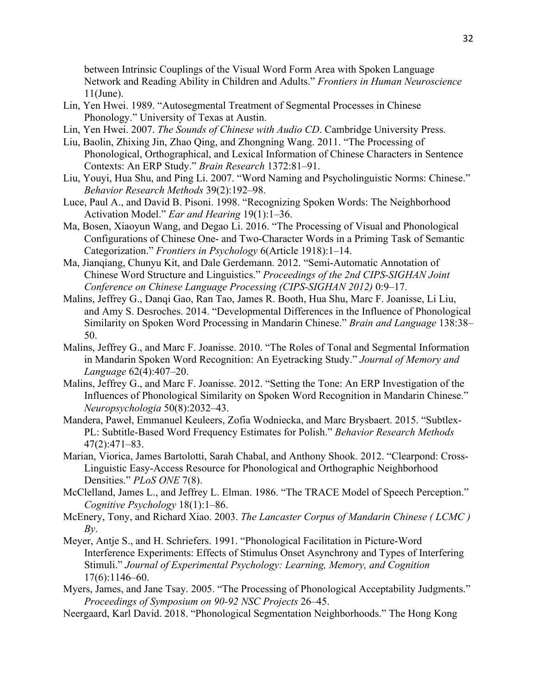between Intrinsic Couplings of the Visual Word Form Area with Spoken Language Network and Reading Ability in Children and Adults." *Frontiers in Human Neuroscience* 11(June).

- Lin, Yen Hwei. 1989. "Autosegmental Treatment of Segmental Processes in Chinese Phonology." University of Texas at Austin.
- Lin, Yen Hwei. 2007. *The Sounds of Chinese with Audio CD*. Cambridge University Press.
- Liu, Baolin, Zhixing Jin, Zhao Qing, and Zhongning Wang. 2011. "The Processing of Phonological, Orthographical, and Lexical Information of Chinese Characters in Sentence Contexts: An ERP Study." *Brain Research* 1372:81–91.
- Liu, Youyi, Hua Shu, and Ping Li. 2007. "Word Naming and Psycholinguistic Norms: Chinese." *Behavior Research Methods* 39(2):192–98.
- Luce, Paul A., and David B. Pisoni. 1998. "Recognizing Spoken Words: The Neighborhood Activation Model." *Ear and Hearing* 19(1):1–36.
- Ma, Bosen, Xiaoyun Wang, and Degao Li. 2016. "The Processing of Visual and Phonological Configurations of Chinese One- and Two-Character Words in a Priming Task of Semantic Categorization." *Frontiers in Psychology* 6(Article 1918):1–14.
- Ma, Jianqiang, Chunyu Kit, and Dale Gerdemann. 2012. "Semi-Automatic Annotation of Chinese Word Structure and Linguistics." *Proceedings of the 2nd CIPS-SIGHAN Joint Conference on Chinese Language Processing (CIPS-SIGHAN 2012)* 0:9–17.
- Malins, Jeffrey G., Danqi Gao, Ran Tao, James R. Booth, Hua Shu, Marc F. Joanisse, Li Liu, and Amy S. Desroches. 2014. "Developmental Differences in the Influence of Phonological Similarity on Spoken Word Processing in Mandarin Chinese." *Brain and Language* 138:38– 50.
- Malins, Jeffrey G., and Marc F. Joanisse. 2010. "The Roles of Tonal and Segmental Information in Mandarin Spoken Word Recognition: An Eyetracking Study." *Journal of Memory and Language* 62(4):407–20.
- Malins, Jeffrey G., and Marc F. Joanisse. 2012. "Setting the Tone: An ERP Investigation of the Influences of Phonological Similarity on Spoken Word Recognition in Mandarin Chinese." *Neuropsychologia* 50(8):2032–43.
- Mandera, Paweł, Emmanuel Keuleers, Zofia Wodniecka, and Marc Brysbaert. 2015. "Subtlex-PL: Subtitle-Based Word Frequency Estimates for Polish." *Behavior Research Methods* 47(2):471–83.
- Marian, Viorica, James Bartolotti, Sarah Chabal, and Anthony Shook. 2012. "Clearpond: Cross-Linguistic Easy-Access Resource for Phonological and Orthographic Neighborhood Densities." *PLoS ONE* 7(8).
- McClelland, James L., and Jeffrey L. Elman. 1986. "The TRACE Model of Speech Perception." *Cognitive Psychology* 18(1):1–86.
- McEnery, Tony, and Richard Xiao. 2003. *The Lancaster Corpus of Mandarin Chinese ( LCMC ) By*.
- Meyer, Antje S., and H. Schriefers. 1991. "Phonological Facilitation in Picture-Word Interference Experiments: Effects of Stimulus Onset Asynchrony and Types of Interfering Stimuli." *Journal of Experimental Psychology: Learning, Memory, and Cognition* 17(6):1146–60.
- Myers, James, and Jane Tsay. 2005. "The Processing of Phonological Acceptability Judgments." *Proceedings of Symposium on 90-92 NSC Projects* 26–45.
- Neergaard, Karl David. 2018. "Phonological Segmentation Neighborhoods." The Hong Kong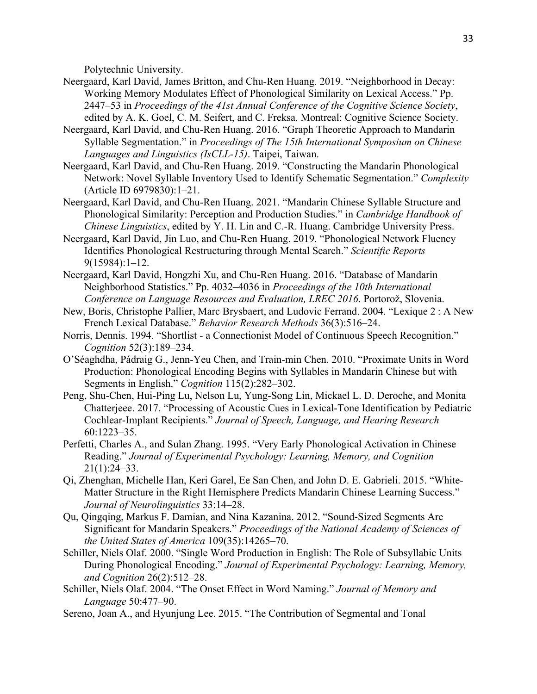Polytechnic University.

- Neergaard, Karl David, James Britton, and Chu-Ren Huang. 2019. "Neighborhood in Decay: Working Memory Modulates Effect of Phonological Similarity on Lexical Access." Pp. 2447–53 in *Proceedings of the 41st Annual Conference of the Cognitive Science Society*, edited by A. K. Goel, C. M. Seifert, and C. Freksa. Montreal: Cognitive Science Society.
- Neergaard, Karl David, and Chu-Ren Huang. 2016. "Graph Theoretic Approach to Mandarin Syllable Segmentation." in *Proceedings of The 15th International Symposium on Chinese Languages and Linguistics (IsCLL-15)*. Taipei, Taiwan.
- Neergaard, Karl David, and Chu-Ren Huang. 2019. "Constructing the Mandarin Phonological Network: Novel Syllable Inventory Used to Identify Schematic Segmentation." *Complexity* (Article ID 6979830):1–21.
- Neergaard, Karl David, and Chu-Ren Huang. 2021. "Mandarin Chinese Syllable Structure and Phonological Similarity: Perception and Production Studies." in *Cambridge Handbook of Chinese Linguistics*, edited by Y. H. Lin and C.-R. Huang. Cambridge University Press.
- Neergaard, Karl David, Jin Luo, and Chu-Ren Huang. 2019. "Phonological Network Fluency Identifies Phonological Restructuring through Mental Search." *Scientific Reports* 9(15984):1–12.
- Neergaard, Karl David, Hongzhi Xu, and Chu-Ren Huang. 2016. "Database of Mandarin Neighborhood Statistics." Pp. 4032–4036 in *Proceedings of the 10th International Conference on Language Resources and Evaluation, LREC 2016*. Portorož, Slovenia.
- New, Boris, Christophe Pallier, Marc Brysbaert, and Ludovic Ferrand. 2004. "Lexique 2 : A New French Lexical Database." *Behavior Research Methods* 36(3):516–24.
- Norris, Dennis. 1994. "Shortlist a Connectionist Model of Continuous Speech Recognition." *Cognition* 52(3):189–234.
- O'Séaghdha, Pádraig G., Jenn-Yeu Chen, and Train-min Chen. 2010. "Proximate Units in Word Production: Phonological Encoding Begins with Syllables in Mandarin Chinese but with Segments in English." *Cognition* 115(2):282–302.
- Peng, Shu-Chen, Hui-Ping Lu, Nelson Lu, Yung-Song Lin, Mickael L. D. Deroche, and Monita Chatterjeee. 2017. "Processing of Acoustic Cues in Lexical-Tone Identification by Pediatric Cochlear-Implant Recipients." *Journal of Speech, Language, and Hearing Research* 60:1223–35.
- Perfetti, Charles A., and Sulan Zhang. 1995. "Very Early Phonological Activation in Chinese Reading." *Journal of Experimental Psychology: Learning, Memory, and Cognition* 21(1):24–33.
- Qi, Zhenghan, Michelle Han, Keri Garel, Ee San Chen, and John D. E. Gabrieli. 2015. "White-Matter Structure in the Right Hemisphere Predicts Mandarin Chinese Learning Success." *Journal of Neurolinguistics* 33:14–28.
- Qu, Qingqing, Markus F. Damian, and Nina Kazanina. 2012. "Sound-Sized Segments Are Significant for Mandarin Speakers." *Proceedings of the National Academy of Sciences of the United States of America* 109(35):14265–70.
- Schiller, Niels Olaf. 2000. "Single Word Production in English: The Role of Subsyllabic Units During Phonological Encoding." *Journal of Experimental Psychology: Learning, Memory, and Cognition* 26(2):512–28.
- Schiller, Niels Olaf. 2004. "The Onset Effect in Word Naming." *Journal of Memory and Language* 50:477–90.
- Sereno, Joan A., and Hyunjung Lee. 2015. "The Contribution of Segmental and Tonal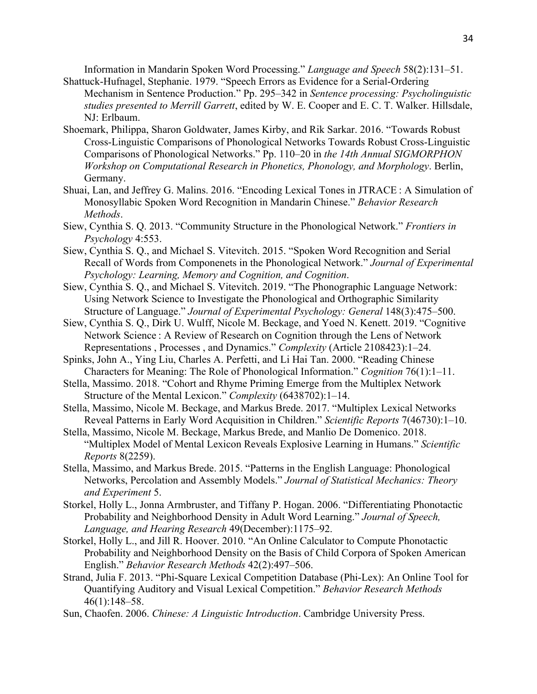Information in Mandarin Spoken Word Processing." *Language and Speech* 58(2):131–51. Shattuck-Hufnagel, Stephanie. 1979. "Speech Errors as Evidence for a Serial-Ordering

- Mechanism in Sentence Production." Pp. 295–342 in *Sentence processing: Psycholinguistic studies presented to Merrill Garrett*, edited by W. E. Cooper and E. C. T. Walker. Hillsdale, NJ: Erlbaum.
- Shoemark, Philippa, Sharon Goldwater, James Kirby, and Rik Sarkar. 2016. "Towards Robust Cross-Linguistic Comparisons of Phonological Networks Towards Robust Cross-Linguistic Comparisons of Phonological Networks." Pp. 110–20 in *the 14th Annual SIGMORPHON Workshop on Computational Research in Phonetics, Phonology, and Morphology*. Berlin, Germany.
- Shuai, Lan, and Jeffrey G. Malins. 2016. "Encoding Lexical Tones in JTRACE : A Simulation of Monosyllabic Spoken Word Recognition in Mandarin Chinese." *Behavior Research Methods*.
- Siew, Cynthia S. Q. 2013. "Community Structure in the Phonological Network." *Frontiers in Psychology* 4:553.
- Siew, Cynthia S. Q., and Michael S. Vitevitch. 2015. "Spoken Word Recognition and Serial Recall of Words from Componenets in the Phonological Network." *Journal of Experimental Psychology: Learning, Memory and Cognition, and Cognition*.
- Siew, Cynthia S. Q., and Michael S. Vitevitch. 2019. "The Phonographic Language Network: Using Network Science to Investigate the Phonological and Orthographic Similarity Structure of Language." *Journal of Experimental Psychology: General* 148(3):475–500.
- Siew, Cynthia S. Q., Dirk U. Wulff, Nicole M. Beckage, and Yoed N. Kenett. 2019. "Cognitive Network Science : A Review of Research on Cognition through the Lens of Network Representations , Processes , and Dynamics." *Complexity* (Article 2108423):1–24.
- Spinks, John A., Ying Liu, Charles A. Perfetti, and Li Hai Tan. 2000. "Reading Chinese Characters for Meaning: The Role of Phonological Information." *Cognition* 76(1):1–11.
- Stella, Massimo. 2018. "Cohort and Rhyme Priming Emerge from the Multiplex Network Structure of the Mental Lexicon." *Complexity* (6438702):1–14.
- Stella, Massimo, Nicole M. Beckage, and Markus Brede. 2017. "Multiplex Lexical Networks Reveal Patterns in Early Word Acquisition in Children." *Scientific Reports* 7(46730):1–10.
- Stella, Massimo, Nicole M. Beckage, Markus Brede, and Manlio De Domenico. 2018. "Multiplex Model of Mental Lexicon Reveals Explosive Learning in Humans." *Scientific Reports* 8(2259).
- Stella, Massimo, and Markus Brede. 2015. "Patterns in the English Language: Phonological Networks, Percolation and Assembly Models." *Journal of Statistical Mechanics: Theory and Experiment* 5.
- Storkel, Holly L., Jonna Armbruster, and Tiffany P. Hogan. 2006. "Differentiating Phonotactic Probability and Neighborhood Density in Adult Word Learning." *Journal of Speech, Language, and Hearing Research* 49(December):1175–92.
- Storkel, Holly L., and Jill R. Hoover. 2010. "An Online Calculator to Compute Phonotactic Probability and Neighborhood Density on the Basis of Child Corpora of Spoken American English." *Behavior Research Methods* 42(2):497–506.
- Strand, Julia F. 2013. "Phi-Square Lexical Competition Database (Phi-Lex): An Online Tool for Quantifying Auditory and Visual Lexical Competition." *Behavior Research Methods* 46(1):148–58.
- Sun, Chaofen. 2006. *Chinese: A Linguistic Introduction*. Cambridge University Press.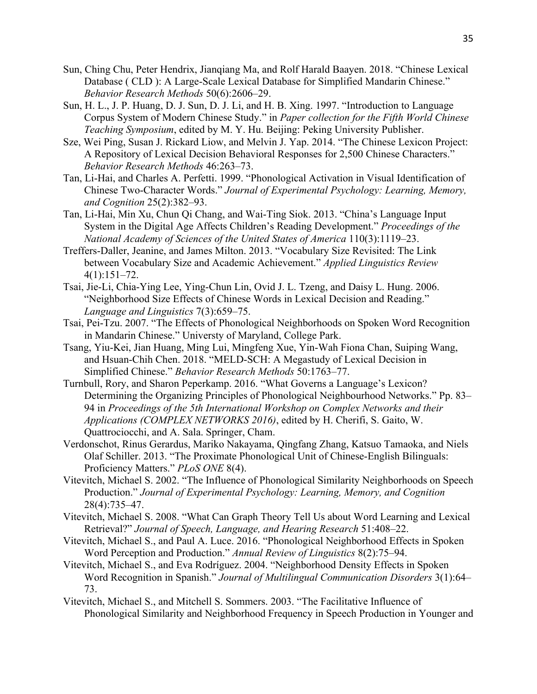- Sun, Ching Chu, Peter Hendrix, Jianqiang Ma, and Rolf Harald Baayen. 2018. "Chinese Lexical Database ( CLD ): A Large-Scale Lexical Database for Simplified Mandarin Chinese." *Behavior Research Methods* 50(6):2606–29.
- Sun, H. L., J. P. Huang, D. J. Sun, D. J. Li, and H. B. Xing. 1997. "Introduction to Language Corpus System of Modern Chinese Study." in *Paper collection for the Fifth World Chinese Teaching Symposium*, edited by M. Y. Hu. Beijing: Peking University Publisher.
- Sze, Wei Ping, Susan J. Rickard Liow, and Melvin J. Yap. 2014. "The Chinese Lexicon Project: A Repository of Lexical Decision Behavioral Responses for 2,500 Chinese Characters." *Behavior Research Methods* 46:263–73.
- Tan, Li-Hai, and Charles A. Perfetti. 1999. "Phonological Activation in Visual Identification of Chinese Two-Character Words." *Journal of Experimental Psychology: Learning, Memory, and Cognition* 25(2):382–93.
- Tan, Li-Hai, Min Xu, Chun Qi Chang, and Wai-Ting Siok. 2013. "China's Language Input System in the Digital Age Affects Children's Reading Development." *Proceedings of the National Academy of Sciences of the United States of America* 110(3):1119–23.
- Treffers-Daller, Jeanine, and James Milton. 2013. "Vocabulary Size Revisited: The Link between Vocabulary Size and Academic Achievement." *Applied Linguistics Review* 4(1):151–72.
- Tsai, Jie-Li, Chia-Ying Lee, Ying-Chun Lin, Ovid J. L. Tzeng, and Daisy L. Hung. 2006. "Neighborhood Size Effects of Chinese Words in Lexical Decision and Reading." *Language and Linguistics* 7(3):659–75.
- Tsai, Pei-Tzu. 2007. "The Effects of Phonological Neighborhoods on Spoken Word Recognition in Mandarin Chinese." Universty of Maryland, College Park.
- Tsang, Yiu-Kei, Jian Huang, Ming Lui, Mingfeng Xue, Yin-Wah Fiona Chan, Suiping Wang, and Hsuan-Chih Chen. 2018. "MELD-SCH: A Megastudy of Lexical Decision in Simplified Chinese." *Behavior Research Methods* 50:1763–77.
- Turnbull, Rory, and Sharon Peperkamp. 2016. "What Governs a Language's Lexicon? Determining the Organizing Principles of Phonological Neighbourhood Networks." Pp. 83– 94 in *Proceedings of the 5th International Workshop on Complex Networks and their Applications (COMPLEX NETWORKS 2016)*, edited by H. Cherifi, S. Gaito, W. Quattrociocchi, and A. Sala. Springer, Cham.
- Verdonschot, Rinus Gerardus, Mariko Nakayama, Qingfang Zhang, Katsuo Tamaoka, and Niels Olaf Schiller. 2013. "The Proximate Phonological Unit of Chinese-English Bilinguals: Proficiency Matters." *PLoS ONE* 8(4).
- Vitevitch, Michael S. 2002. "The Influence of Phonological Similarity Neighborhoods on Speech Production." *Journal of Experimental Psychology: Learning, Memory, and Cognition* 28(4):735–47.
- Vitevitch, Michael S. 2008. "What Can Graph Theory Tell Us about Word Learning and Lexical Retrieval?" *Journal of Speech, Language, and Hearing Research* 51:408–22.
- Vitevitch, Michael S., and Paul A. Luce. 2016. "Phonological Neighborhood Effects in Spoken Word Perception and Production." *Annual Review of Linguistics* 8(2):75–94.
- Vitevitch, Michael S., and Eva Rodríguez. 2004. "Neighborhood Density Effects in Spoken Word Recognition in Spanish." *Journal of Multilingual Communication Disorders* 3(1):64– 73.
- Vitevitch, Michael S., and Mitchell S. Sommers. 2003. "The Facilitative Influence of Phonological Similarity and Neighborhood Frequency in Speech Production in Younger and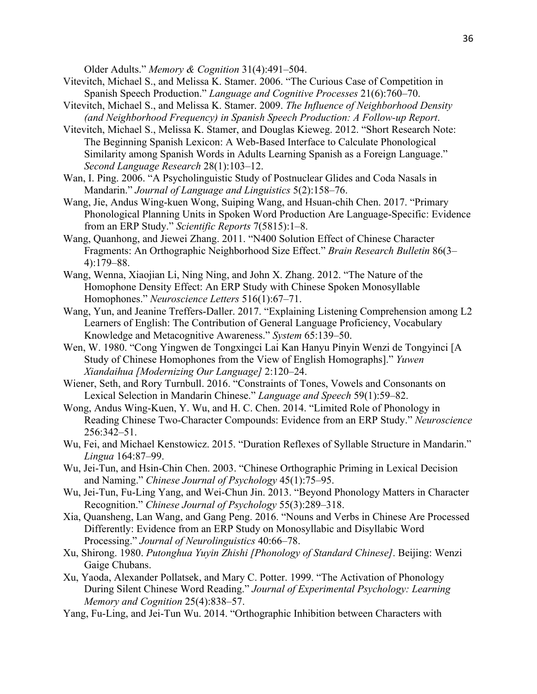Older Adults." *Memory & Cognition* 31(4):491–504.

- Vitevitch, Michael S., and Melissa K. Stamer. 2006. "The Curious Case of Competition in Spanish Speech Production." *Language and Cognitive Processes* 21(6):760–70.
- Vitevitch, Michael S., and Melissa K. Stamer. 2009. *The Influence of Neighborhood Density (and Neighborhood Frequency) in Spanish Speech Production: A Follow-up Report*.
- Vitevitch, Michael S., Melissa K. Stamer, and Douglas Kieweg. 2012. "Short Research Note: The Beginning Spanish Lexicon: A Web-Based Interface to Calculate Phonological Similarity among Spanish Words in Adults Learning Spanish as a Foreign Language." *Second Language Research* 28(1):103–12.
- Wan, I. Ping. 2006. "A Psycholinguistic Study of Postnuclear Glides and Coda Nasals in Mandarin." *Journal of Language and Linguistics* 5(2):158–76.
- Wang, Jie, Andus Wing-kuen Wong, Suiping Wang, and Hsuan-chih Chen. 2017. "Primary Phonological Planning Units in Spoken Word Production Are Language-Specific: Evidence from an ERP Study." *Scientific Reports* 7(5815):1–8.
- Wang, Quanhong, and Jiewei Zhang. 2011. "N400 Solution Effect of Chinese Character Fragments: An Orthographic Neighborhood Size Effect." *Brain Research Bulletin* 86(3– 4):179–88.
- Wang, Wenna, Xiaojian Li, Ning Ning, and John X. Zhang. 2012. "The Nature of the Homophone Density Effect: An ERP Study with Chinese Spoken Monosyllable Homophones." *Neuroscience Letters* 516(1):67–71.
- Wang, Yun, and Jeanine Treffers-Daller. 2017. "Explaining Listening Comprehension among L2 Learners of English: The Contribution of General Language Proficiency, Vocabulary Knowledge and Metacognitive Awareness." *System* 65:139–50.
- Wen, W. 1980. "Cong Yingwen de Tongxingci Lai Kan Hanyu Pinyin Wenzi de Tongyinci [A Study of Chinese Homophones from the View of English Homographs]." *Yuwen Xiandaihua [Modernizing Our Language]* 2:120–24.
- Wiener, Seth, and Rory Turnbull. 2016. "Constraints of Tones, Vowels and Consonants on Lexical Selection in Mandarin Chinese." *Language and Speech* 59(1):59–82.
- Wong, Andus Wing-Kuen, Y. Wu, and H. C. Chen. 2014. "Limited Role of Phonology in Reading Chinese Two-Character Compounds: Evidence from an ERP Study." *Neuroscience* 256:342–51.
- Wu, Fei, and Michael Kenstowicz. 2015. "Duration Reflexes of Syllable Structure in Mandarin." *Lingua* 164:87–99.
- Wu, Jei-Tun, and Hsin-Chin Chen. 2003. "Chinese Orthographic Priming in Lexical Decision and Naming." *Chinese Journal of Psychology* 45(1):75–95.
- Wu, Jei-Tun, Fu-Ling Yang, and Wei-Chun Jin. 2013. "Beyond Phonology Matters in Character Recognition." *Chinese Journal of Psychology* 55(3):289–318.
- Xia, Quansheng, Lan Wang, and Gang Peng. 2016. "Nouns and Verbs in Chinese Are Processed Differently: Evidence from an ERP Study on Monosyllabic and Disyllabic Word Processing." *Journal of Neurolinguistics* 40:66–78.
- Xu, Shirong. 1980. *Putonghua Yuyin Zhishi [Phonology of Standard Chinese]*. Beijing: Wenzi Gaige Chubans.
- Xu, Yaoda, Alexander Pollatsek, and Mary C. Potter. 1999. "The Activation of Phonology During Silent Chinese Word Reading." *Journal of Experimental Psychology: Learning Memory and Cognition* 25(4):838–57.
- Yang, Fu-Ling, and Jei-Tun Wu. 2014. "Orthographic Inhibition between Characters with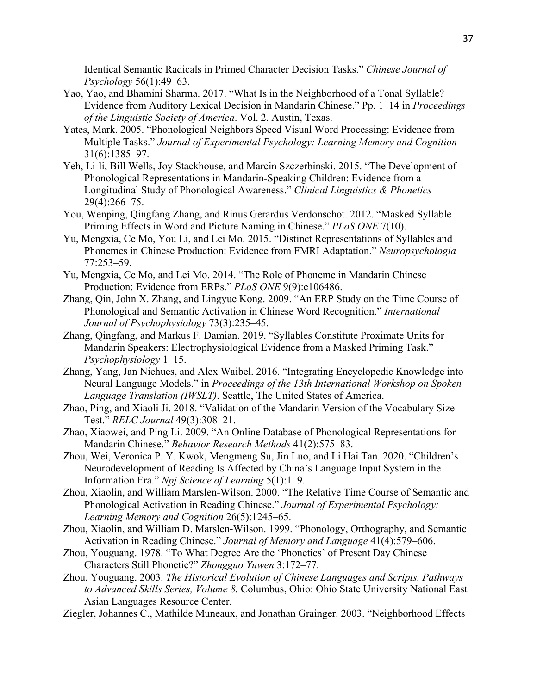Identical Semantic Radicals in Primed Character Decision Tasks." *Chinese Journal of Psychology* 56(1):49–63.

- Yao, Yao, and Bhamini Sharma. 2017. "What Is in the Neighborhood of a Tonal Syllable? Evidence from Auditory Lexical Decision in Mandarin Chinese." Pp. 1–14 in *Proceedings of the Linguistic Society of America*. Vol. 2. Austin, Texas.
- Yates, Mark. 2005. "Phonological Neighbors Speed Visual Word Processing: Evidence from Multiple Tasks." *Journal of Experimental Psychology: Learning Memory and Cognition* 31(6):1385–97.
- Yeh, Li-li, Bill Wells, Joy Stackhouse, and Marcin Szczerbinski. 2015. "The Development of Phonological Representations in Mandarin-Speaking Children: Evidence from a Longitudinal Study of Phonological Awareness." *Clinical Linguistics & Phonetics* 29(4):266–75.
- You, Wenping, Qingfang Zhang, and Rinus Gerardus Verdonschot. 2012. "Masked Syllable Priming Effects in Word and Picture Naming in Chinese." *PLoS ONE* 7(10).
- Yu, Mengxia, Ce Mo, You Li, and Lei Mo. 2015. "Distinct Representations of Syllables and Phonemes in Chinese Production: Evidence from FMRI Adaptation." *Neuropsychologia* 77:253–59.
- Yu, Mengxia, Ce Mo, and Lei Mo. 2014. "The Role of Phoneme in Mandarin Chinese Production: Evidence from ERPs." *PLoS ONE* 9(9):e106486.
- Zhang, Qin, John X. Zhang, and Lingyue Kong. 2009. "An ERP Study on the Time Course of Phonological and Semantic Activation in Chinese Word Recognition." *International Journal of Psychophysiology* 73(3):235–45.
- Zhang, Qingfang, and Markus F. Damian. 2019. "Syllables Constitute Proximate Units for Mandarin Speakers: Electrophysiological Evidence from a Masked Priming Task." *Psychophysiology* 1–15.
- Zhang, Yang, Jan Niehues, and Alex Waibel. 2016. "Integrating Encyclopedic Knowledge into Neural Language Models." in *Proceedings of the 13th International Workshop on Spoken Language Translation (IWSLT)*. Seattle, The United States of America.
- Zhao, Ping, and Xiaoli Ji. 2018. "Validation of the Mandarin Version of the Vocabulary Size Test." *RELC Journal* 49(3):308–21.
- Zhao, Xiaowei, and Ping Li. 2009. "An Online Database of Phonological Representations for Mandarin Chinese." *Behavior Research Methods* 41(2):575–83.
- Zhou, Wei, Veronica P. Y. Kwok, Mengmeng Su, Jin Luo, and Li Hai Tan. 2020. "Children's Neurodevelopment of Reading Is Affected by China's Language Input System in the Information Era." *Npj Science of Learning* 5(1):1–9.
- Zhou, Xiaolin, and William Marslen-Wilson. 2000. "The Relative Time Course of Semantic and Phonological Activation in Reading Chinese." *Journal of Experimental Psychology: Learning Memory and Cognition* 26(5):1245–65.
- Zhou, Xiaolin, and William D. Marslen-Wilson. 1999. "Phonology, Orthography, and Semantic Activation in Reading Chinese." *Journal of Memory and Language* 41(4):579–606.
- Zhou, Youguang. 1978. "To What Degree Are the 'Phonetics' of Present Day Chinese Characters Still Phonetic?" *Zhongguo Yuwen* 3:172–77.
- Zhou, Youguang. 2003. *The Historical Evolution of Chinese Languages and Scripts. Pathways to Advanced Skills Series, Volume 8.* Columbus, Ohio: Ohio State University National East Asian Languages Resource Center.
- Ziegler, Johannes C., Mathilde Muneaux, and Jonathan Grainger. 2003. "Neighborhood Effects